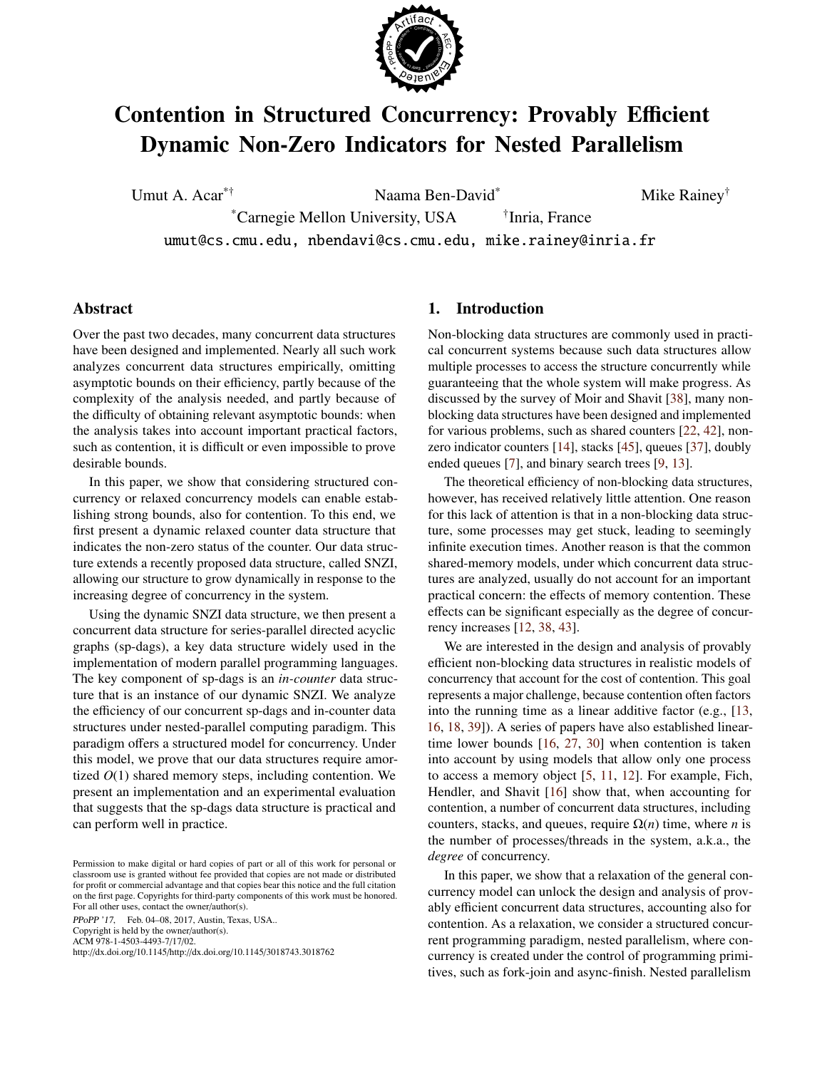

# Contention in Structured Concurrency: Provably Efficient Dynamic Non-Zero Indicators for Nested Parallelism

Umut A. Acar<sup>\*†</sup> Naama Ben-David<sup>\*</sup> Mike Rainey<sup>†</sup>

\*Carnegie Mellon University, USA † <sup>†</sup>Inria, France

umut@cs.cmu.edu, nbendavi@cs.cmu.edu, mike.rainey@inria.fr

# Abstract

Over the past two decades, many concurrent data structures have been designed and implemented. Nearly all such work analyzes concurrent data structures empirically, omitting asymptotic bounds on their efficiency, partly because of the complexity of the analysis needed, and partly because of the difficulty of obtaining relevant asymptotic bounds: when the analysis takes into account important practical factors, such as contention, it is difficult or even impossible to prove desirable bounds.

In this paper, we show that considering structured concurrency or relaxed concurrency models can enable establishing strong bounds, also for contention. To this end, we first present a dynamic relaxed counter data structure that indicates the non-zero status of the counter. Our data structure extends a recently proposed data structure, called SNZI, allowing our structure to grow dynamically in response to the increasing degree of concurrency in the system.

Using the dynamic SNZI data structure, we then present a concurrent data structure for series-parallel directed acyclic graphs (sp-dags), a key data structure widely used in the implementation of modern parallel programming languages. The key component of sp-dags is an *in-counter* data structure that is an instance of our dynamic SNZI. We analyze the efficiency of our concurrent sp-dags and in-counter data structures under nested-parallel computing paradigm. This paradigm offers a structured model for concurrency. Under this model, we prove that our data structures require amortized *O*(1) shared memory steps, including contention. We present an implementation and an experimental evaluation that suggests that the sp-dags data structure is practical and can perform well in practice.

PPoPP '17, Feb. 04–08, 2017, Austin, Texas, USA.. Copyright is held by the owner/author(s). ACM 978-1-4503-4493-7/17/02.

http://dx.doi.org/10.1145/http://dx.doi.org/10.1145/3018743.3018762

# 1. Introduction

Non-blocking data structures are commonly used in practical concurrent systems because such data structures allow multiple processes to access the structure concurrently while guaranteeing that the whole system will make progress. As discussed by the survey of Moir and Shavit [\[38\]](#page-12-0), many nonblocking data structures have been designed and implemented for various problems, such as shared counters [\[22,](#page-12-1) [42\]](#page-12-2), nonzero indicator counters [\[14\]](#page-11-0), stacks [\[45\]](#page-12-3), queues [\[37\]](#page-12-4), doubly ended queues [\[7\]](#page-11-1), and binary search trees [\[9,](#page-11-2) [13\]](#page-11-3).

The theoretical efficiency of non-blocking data structures, however, has received relatively little attention. One reason for this lack of attention is that in a non-blocking data structure, some processes may get stuck, leading to seemingly infinite execution times. Another reason is that the common shared-memory models, under which concurrent data structures are analyzed, usually do not account for an important practical concern: the effects of memory contention. These effects can be significant especially as the degree of concurrency increases [\[12,](#page-11-4) [38,](#page-12-0) [43\]](#page-12-5).

We are interested in the design and analysis of provably efficient non-blocking data structures in realistic models of concurrency that account for the cost of contention. This goal represents a major challenge, because contention often factors into the running time as a linear additive factor (e.g., [\[13,](#page-11-3) [16,](#page-11-5) [18,](#page-12-6) [39\]](#page-12-7)). A series of papers have also established lineartime lower bounds [\[16,](#page-11-5) [27,](#page-12-8) [30\]](#page-12-9) when contention is taken into account by using models that allow only one process to access a memory object [\[5,](#page-11-6) [11,](#page-11-7) [12\]](#page-11-4). For example, Fich, Hendler, and Shavit [\[16\]](#page-11-5) show that, when accounting for contention, a number of concurrent data structures, including counters, stacks, and queues, require  $\Omega(n)$  time, where *n* is the number of processes/threads in the system, a.k.a., the *degree* of concurrency.

In this paper, we show that a relaxation of the general concurrency model can unlock the design and analysis of provably efficient concurrent data structures, accounting also for contention. As a relaxation, we consider a structured concurrent programming paradigm, nested parallelism, where concurrency is created under the control of programming primitives, such as fork-join and async-finish. Nested parallelism

Permission to make digital or hard copies of part or all of this work for personal or classroom use is granted without fee provided that copies are not made or distributed for profit or commercial advantage and that copies bear this notice and the full citation on the first page. Copyrights for third-party components of this work must be honored. For all other uses, contact the owner/author(s).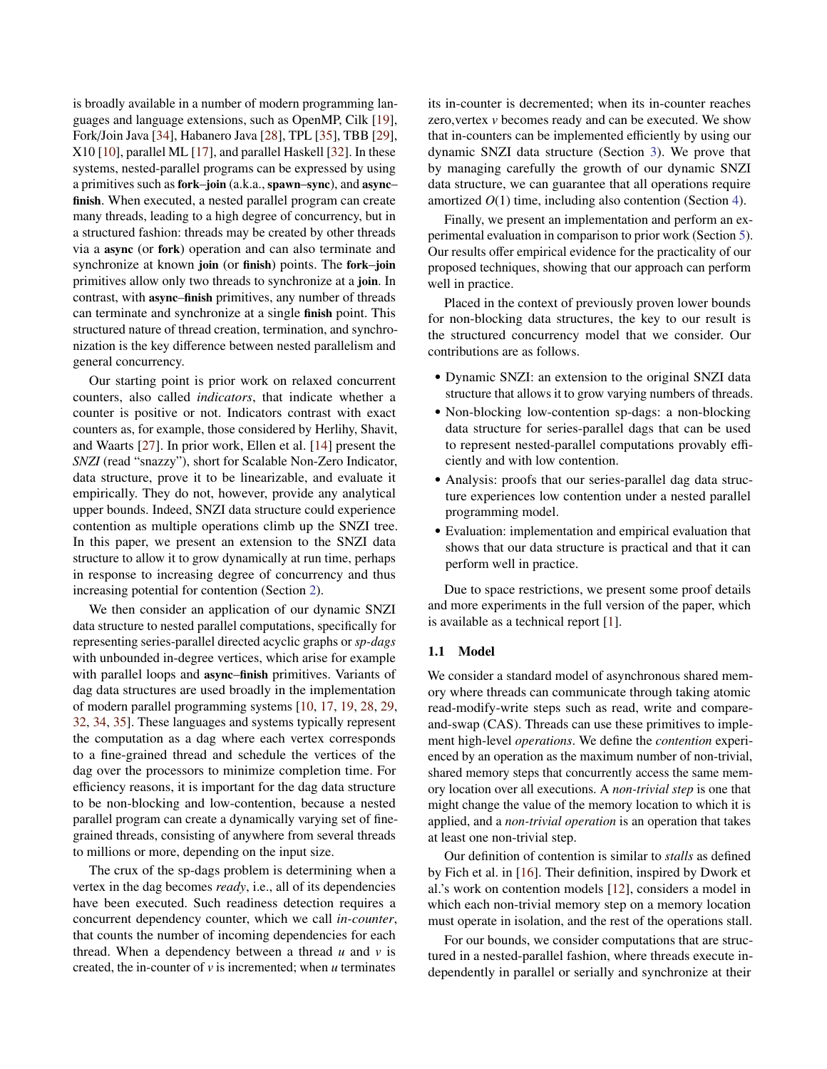is broadly available in a number of modern programming languages and language extensions, such as OpenMP, Cilk [\[19\]](#page-12-10), Fork/Join Java [\[34\]](#page-12-11), Habanero Java [\[28\]](#page-12-12), TPL [\[35\]](#page-12-13), TBB [\[29\]](#page-12-14), X10 [\[10\]](#page-11-8), parallel ML [\[17\]](#page-12-15), and parallel Haskell [\[32\]](#page-12-16). In these systems, nested-parallel programs can be expressed by using a primitives such as fork–join (a.k.a., spawn–sync), and async– finish. When executed, a nested parallel program can create many threads, leading to a high degree of concurrency, but in a structured fashion: threads may be created by other threads via a async (or fork) operation and can also terminate and synchronize at known join (or finish) points. The fork–join primitives allow only two threads to synchronize at a join. In contrast, with async–finish primitives, any number of threads can terminate and synchronize at a single finish point. This structured nature of thread creation, termination, and synchronization is the key difference between nested parallelism and general concurrency.

Our starting point is prior work on relaxed concurrent counters, also called *indicators*, that indicate whether a counter is positive or not. Indicators contrast with exact counters as, for example, those considered by Herlihy, Shavit, and Waarts [\[27\]](#page-12-8). In prior work, Ellen et al. [\[14\]](#page-11-0) present the *SNZI* (read "snazzy"), short for Scalable Non-Zero Indicator, data structure, prove it to be linearizable, and evaluate it empirically. They do not, however, provide any analytical upper bounds. Indeed, SNZI data structure could experience contention as multiple operations climb up the SNZI tree. In this paper, we present an extension to the SNZI data structure to allow it to grow dynamically at run time, perhaps in response to increasing degree of concurrency and thus increasing potential for contention (Section [2\)](#page-2-0).

We then consider an application of our dynamic SNZI data structure to nested parallel computations, specifically for representing series-parallel directed acyclic graphs or *sp-dags* with unbounded in-degree vertices, which arise for example with parallel loops and async–finish primitives. Variants of dag data structures are used broadly in the implementation of modern parallel programming systems [\[10,](#page-11-8) [17,](#page-12-15) [19,](#page-12-10) [28,](#page-12-12) [29,](#page-12-14) [32,](#page-12-16) [34,](#page-12-11) [35\]](#page-12-13). These languages and systems typically represent the computation as a dag where each vertex corresponds to a fine-grained thread and schedule the vertices of the dag over the processors to minimize completion time. For efficiency reasons, it is important for the dag data structure to be non-blocking and low-contention, because a nested parallel program can create a dynamically varying set of finegrained threads, consisting of anywhere from several threads to millions or more, depending on the input size.

The crux of the sp-dags problem is determining when a vertex in the dag becomes *ready*, i.e., all of its dependencies have been executed. Such readiness detection requires a concurrent dependency counter, which we call *in-counter*, that counts the number of incoming dependencies for each thread. When a dependency between a thread *u* and *v* is created, the in-counter of *v* is incremented; when *u* terminates

its in-counter is decremented; when its in-counter reaches zero,vertex *v* becomes ready and can be executed. We show that in-counters can be implemented efficiently by using our dynamic SNZI data structure (Section [3\)](#page-3-0). We prove that by managing carefully the growth of our dynamic SNZI data structure, we can guarantee that all operations require amortized *O*(1) time, including also contention (Section [4\)](#page-7-0).

Finally, we present an implementation and perform an experimental evaluation in comparison to prior work (Section [5\)](#page-9-0). Our results offer empirical evidence for the practicality of our proposed techniques, showing that our approach can perform well in practice.

Placed in the context of previously proven lower bounds for non-blocking data structures, the key to our result is the structured concurrency model that we consider. Our contributions are as follows.

- Dynamic SNZI: an extension to the original SNZI data structure that allows it to grow varying numbers of threads.
- Non-blocking low-contention sp-dags: a non-blocking data structure for series-parallel dags that can be used to represent nested-parallel computations provably efficiently and with low contention.
- Analysis: proofs that our series-parallel dag data structure experiences low contention under a nested parallel programming model.
- Evaluation: implementation and empirical evaluation that shows that our data structure is practical and that it can perform well in practice.

Due to space restrictions, we present some proof details and more experiments in the full version of the paper, which is available as a technical report [\[1\]](#page-11-9).

#### 1.1 Model

We consider a standard model of asynchronous shared memory where threads can communicate through taking atomic read-modify-write steps such as read, write and compareand-swap (CAS). Threads can use these primitives to implement high-level *operations*. We define the *contention* experienced by an operation as the maximum number of non-trivial, shared memory steps that concurrently access the same memory location over all executions. A *non-trivial step* is one that might change the value of the memory location to which it is applied, and a *non-trivial operation* is an operation that takes at least one non-trivial step.

Our definition of contention is similar to *stalls* as defined by Fich et al. in [\[16\]](#page-11-5). Their definition, inspired by Dwork et al.'s work on contention models [\[12\]](#page-11-4), considers a model in which each non-trivial memory step on a memory location must operate in isolation, and the rest of the operations stall.

For our bounds, we consider computations that are structured in a nested-parallel fashion, where threads execute independently in parallel or serially and synchronize at their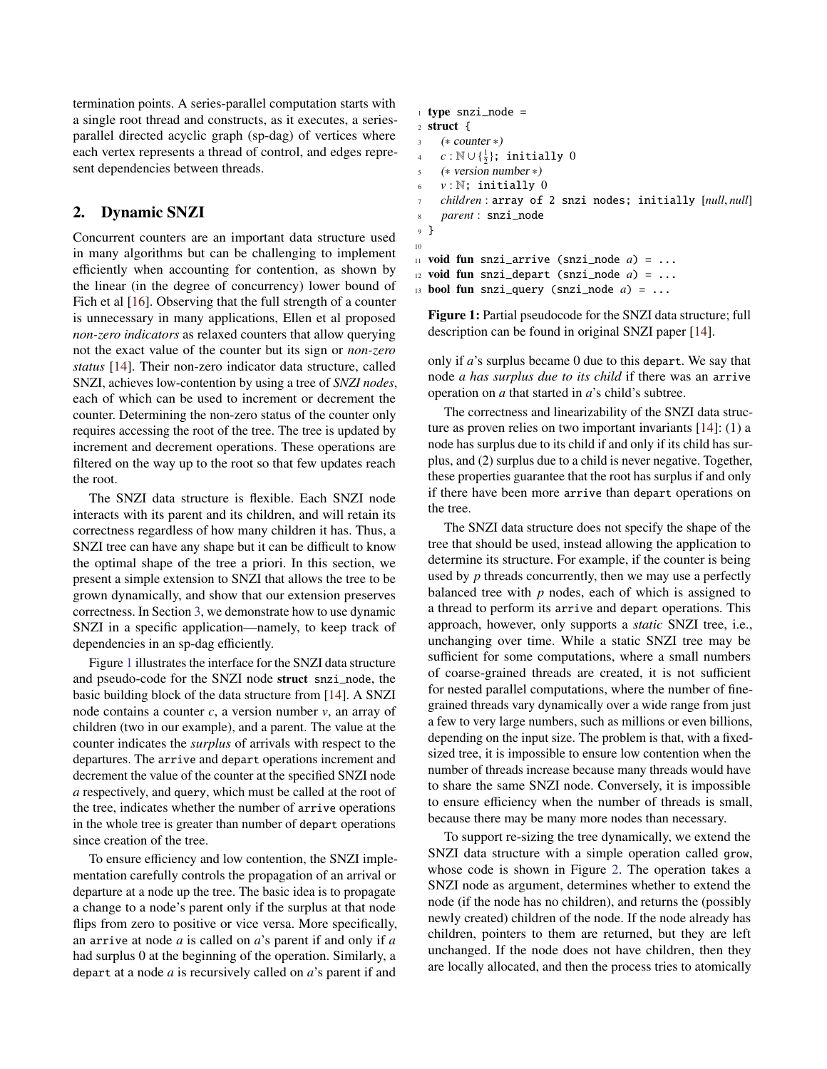termination points. A series-parallel computation starts with a single root thread and constructs, as it executes, a seriesparallel directed acyclic graph (sp-dag) of vertices where each vertex represents a thread of control, and edges represent dependencies between threads.

# <span id="page-2-0"></span>2. Dynamic SNZI

Concurrent counters are an important data structure used in many algorithms but can be challenging to implement efficiently when accounting for contention, as shown by the linear (in the degree of concurrency) lower bound of Fich et al [\[16\]](#page-11-5). Observing that the full strength of a counter is unnecessary in many applications, Ellen et al proposed *non-zero indicators* as relaxed counters that allow querying not the exact value of the counter but its sign or *non-zero status* [\[14\]](#page-11-0). Their non-zero indicator data structure, called SNZI, achieves low-contention by using a tree of *SNZI nodes*, each of which can be used to increment or decrement the counter. Determining the non-zero status of the counter only requires accessing the root of the tree. The tree is updated by increment and decrement operations. These operations are filtered on the way up to the root so that few updates reach the root.

The SNZI data structure is flexible. Each SNZI node interacts with its parent and its children, and will retain its correctness regardless of how many children it has. Thus, a SNZI tree can have any shape but it can be difficult to know the optimal shape of the tree a priori. In this section, we present a simple extension to SNZI that allows the tree to be grown dynamically, and show that our extension preserves correctness. In Section [3,](#page-3-0) we demonstrate how to use dynamic SNZI in a specific application—namely, to keep track of dependencies in an sp-dag efficiently.

Figure [1](#page-2-1) illustrates the interface for the SNZI data structure and pseudo-code for the SNZI node struct snzi\_node, the basic building block of the data structure from [\[14\]](#page-11-0). A SNZI node contains a counter *c*, a version number *v*, an array of children (two in our example), and a parent. The value at the counter indicates the *surplus* of arrivals with respect to the departures. The arrive and depart operations increment and decrement the value of the counter at the specified SNZI node *a* respectively, and query, which must be called at the root of the tree, indicates whether the number of arrive operations in the whole tree is greater than number of depart operations since creation of the tree.

To ensure efficiency and low contention, the SNZI implementation carefully controls the propagation of an arrival or departure at a node up the tree. The basic idea is to propagate a change to a node's parent only if the surplus at that node flips from zero to positive or vice versa. More specifically, an arrive at node *a* is called on *a*'s parent if and only if *a* had surplus 0 at the beginning of the operation. Similarly, a depart at a node *a* is recursively called on *a*'s parent if and

```
1 type snzi_node =
2 struct {
     3 (∗ counter ∗)
 \alpha c : N∪{\frac{1}{2}}; initially 0
5 (∗ version number ∗)
\delta v : \mathbb{N}; initially 0
7 children : array of 2 snzi nodes; initially [null, null]
     8 parent : snzi_node
9 }
10
11 void fun snzi_arrive (snzi_node a) = ...
12 void fun snzi_depart (snzi_node a) = ...
```

```
13 bool fun snzi_query (snzi_node a) = ...
```
Figure 1: Partial pseudocode for the SNZI data structure; full description can be found in original SNZI paper [\[14\]](#page-11-0).

only if *a*'s surplus became 0 due to this depart. We say that node *a has surplus due to its child* if there was an arrive operation on *a* that started in *a*'s child's subtree.

The correctness and linearizability of the SNZI data structure as proven relies on two important invariants [\[14\]](#page-11-0): (1) a node has surplus due to its child if and only if its child has surplus, and (2) surplus due to a child is never negative. Together, these properties guarantee that the root has surplus if and only if there have been more arrive than depart operations on the tree.

The SNZI data structure does not specify the shape of the tree that should be used, instead allowing the application to determine its structure. For example, if the counter is being used by *p* threads concurrently, then we may use a perfectly balanced tree with *p* nodes, each of which is assigned to a thread to perform its arrive and depart operations. This approach, however, only supports a *static* SNZI tree, i.e., unchanging over time. While a static SNZI tree may be sufficient for some computations, where a small numbers of coarse-grained threads are created, it is not sufficient for nested parallel computations, where the number of finegrained threads vary dynamically over a wide range from just a few to very large numbers, such as millions or even billions, depending on the input size. The problem is that, with a fixedsized tree, it is impossible to ensure low contention when the number of threads increase because many threads would have to share the same SNZI node. Conversely, it is impossible to ensure efficiency when the number of threads is small, because there may be many more nodes than necessary.

To support re-sizing the tree dynamically, we extend the SNZI data structure with a simple operation called grow, whose code is shown in Figure [2.](#page-3-1) The operation takes a SNZI node as argument, determines whether to extend the node (if the node has no children), and returns the (possibly newly created) children of the node. If the node already has children, pointers to them are returned, but they are left unchanged. If the node does not have children, then they are locally allocated, and then the process tries to atomically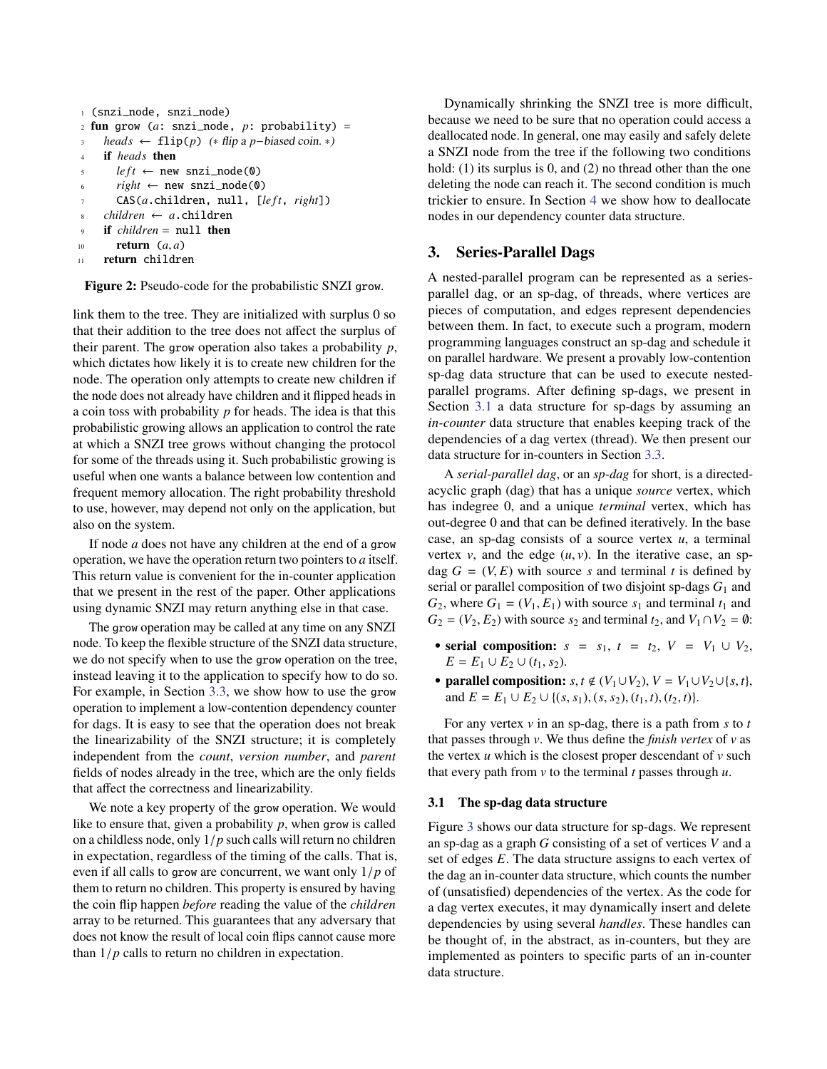```
1 (snzi_node, snzi_node)
2 fun grow (a: snzi_node, p: probability) =
    3 heads ← flip(p) (∗ flip a p−biased coin. ∗)
4 if heads then
s left \leftarrow new snzi_node(0)
6 right \leftarrow new snzi_node(0)
       CAS(a.children, null, [left, right])
    8 children ← a.children
    9 if children = null then
10 return (a, a)<br>11 return childre
     return children
```
Figure 2: Pseudo-code for the probabilistic SNZI grow.

link them to the tree. They are initialized with surplus 0 so that their addition to the tree does not affect the surplus of their parent. The grow operation also takes a probability *p*, which dictates how likely it is to create new children for the node. The operation only attempts to create new children if the node does not already have children and it flipped heads in a coin toss with probability *p* for heads. The idea is that this probabilistic growing allows an application to control the rate at which a SNZI tree grows without changing the protocol for some of the threads using it. Such probabilistic growing is useful when one wants a balance between low contention and frequent memory allocation. The right probability threshold to use, however, may depend not only on the application, but also on the system.

If node *a* does not have any children at the end of a grow operation, we have the operation return two pointers to *a* itself. This return value is convenient for the in-counter application that we present in the rest of the paper. Other applications using dynamic SNZI may return anything else in that case.

The grow operation may be called at any time on any SNZI node. To keep the flexible structure of the SNZI data structure, we do not specify when to use the grow operation on the tree, instead leaving it to the application to specify how to do so. For example, in Section [3.3,](#page-5-0) we show how to use the grow operation to implement a low-contention dependency counter for dags. It is easy to see that the operation does not break the linearizability of the SNZI structure; it is completely independent from the *count*, *version number*, and *parent* fields of nodes already in the tree, which are the only fields that affect the correctness and linearizability.

We note a key property of the grow operation. We would like to ensure that, given a probability *p*, when grow is called on a childless node, only <sup>1</sup>/*<sup>p</sup>* such calls will return no children in expectation, regardless of the timing of the calls. That is, even if all calls to grow are concurrent, we want only <sup>1</sup>/*<sup>p</sup>* of them to return no children. This property is ensured by having the coin flip happen *before* reading the value of the *children* array to be returned. This guarantees that any adversary that does not know the result of local coin flips cannot cause more than  $1/p$  calls to return no children in expectation.

Dynamically shrinking the SNZI tree is more difficult, because we need to be sure that no operation could access a deallocated node. In general, one may easily and safely delete a SNZI node from the tree if the following two conditions hold: (1) its surplus is 0, and (2) no thread other than the one deleting the node can reach it. The second condition is much trickier to ensure. In Section [4](#page-7-0) we show how to deallocate nodes in our dependency counter data structure.

# <span id="page-3-0"></span>3. Series-Parallel Dags

A nested-parallel program can be represented as a seriesparallel dag, or an sp-dag, of threads, where vertices are pieces of computation, and edges represent dependencies between them. In fact, to execute such a program, modern programming languages construct an sp-dag and schedule it on parallel hardware. We present a provably low-contention sp-dag data structure that can be used to execute nestedparallel programs. After defining sp-dags, we present in Section [3.1](#page-3-2) a data structure for sp-dags by assuming an *in-counter* data structure that enables keeping track of the dependencies of a dag vertex (thread). We then present our data structure for in-counters in Section [3.3.](#page-5-0)

A *serial-parallel dag*, or an *sp-dag* for short, is a directedacyclic graph (dag) that has a unique *source* vertex, which has indegree 0, and a unique *terminal* vertex, which has out-degree 0 and that can be defined iteratively. In the base case, an sp-dag consists of a source vertex *u*, a terminal vertex  $v$ , and the edge  $(u, v)$ . In the iterative case, an spdag  $G = (V, E)$  with source *s* and terminal *t* is defined by serial or parallel composition of two disjoint sp-dags *G*<sup>1</sup> and  $G_2$ , where  $G_1 = (V_1, E_1)$  with source  $s_1$  and terminal  $t_1$  and  $G_2 = (V_2, E_2)$  with source  $s_2$  and terminal  $t_2$ , and  $V_1 \cap V_2 = \emptyset$ :

- serial composition:  $s = s_1$ ,  $t = t_2$ ,  $V = V_1 \cup V_2$ ,  $E = E_1 \cup E_2 \cup (t_1, s_2).$
- parallel composition:  $s, t \notin (V_1 \cup V_2), V = V_1 \cup V_2 \cup \{s, t\},$ and  $E = E_1 \cup E_2 \cup \{(s, s_1), (s, s_2), (t_1, t), (t_2, t)\}.$

For any vertex *v* in an sp-dag, there is a path from *s* to *t* that passes through *v*. We thus define the *finish vertex* of *v* as the vertex  $u$  which is the closest proper descendant of  $v$  such that every path from *v* to the terminal *t* passes through *u*.

## <span id="page-3-2"></span>3.1 The sp-dag data structure

Figure [3](#page-4-0) shows our data structure for sp-dags. We represent an sp-dag as a graph *G* consisting of a set of vertices *V* and a set of edges *E*. The data structure assigns to each vertex of the dag an in-counter data structure, which counts the number of (unsatisfied) dependencies of the vertex. As the code for a dag vertex executes, it may dynamically insert and delete dependencies by using several *handles*. These handles can be thought of, in the abstract, as in-counters, but they are implemented as pointers to specific parts of an in-counter data structure.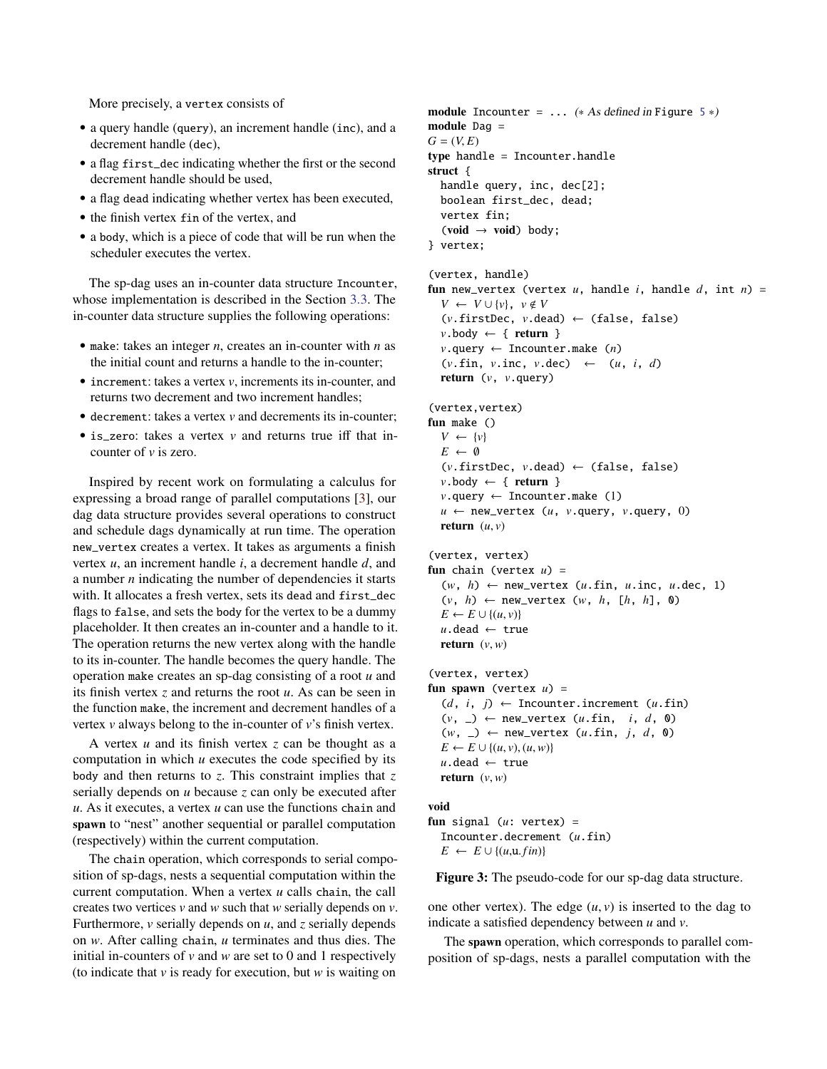More precisely, a vertex consists of

- a query handle (query), an increment handle (inc), and a decrement handle (dec),
- a flag first\_dec indicating whether the first or the second decrement handle should be used,
- a flag dead indicating whether vertex has been executed,
- the finish vertex fin of the vertex, and
- a body, which is a piece of code that will be run when the scheduler executes the vertex.

The sp-dag uses an in-counter data structure Incounter, whose implementation is described in the Section [3.3.](#page-5-0) The in-counter data structure supplies the following operations:

- make: takes an integer *n*, creates an in-counter with *n* as the initial count and returns a handle to the in-counter;
- increment: takes a vertex *v*, increments its in-counter, and returns two decrement and two increment handles;
- decrement: takes a vertex *v* and decrements its in-counter;
- is zero: takes a vertex *v* and returns true iff that incounter of *v* is zero.

Inspired by recent work on formulating a calculus for expressing a broad range of parallel computations [\[3\]](#page-11-10), our dag data structure provides several operations to construct and schedule dags dynamically at run time. The operation new\_vertex creates a vertex. It takes as arguments a finish vertex *u*, an increment handle *i*, a decrement handle *d*, and a number *n* indicating the number of dependencies it starts with. It allocates a fresh vertex, sets its dead and first\_dec flags to false, and sets the body for the vertex to be a dummy placeholder. It then creates an in-counter and a handle to it. The operation returns the new vertex along with the handle to its in-counter. The handle becomes the query handle. The operation make creates an sp-dag consisting of a root *u* and its finish vertex *z* and returns the root *u*. As can be seen in the function make, the increment and decrement handles of a vertex *v* always belong to the in-counter of *v*'s finish vertex.

A vertex *u* and its finish vertex *z* can be thought as a computation in which *u* executes the code specified by its body and then returns to *z*. This constraint implies that *z* serially depends on *u* because *z* can only be executed after *u*. As it executes, a vertex *u* can use the functions chain and spawn to "nest" another sequential or parallel computation (respectively) within the current computation.

The chain operation, which corresponds to serial composition of sp-dags, nests a sequential computation within the current computation. When a vertex *u* calls chain, the call creates two vertices *v* and *w* such that *w* serially depends on *v*. Furthermore, *v* serially depends on *u*, and *z* serially depends on *w*. After calling chain, *u* terminates and thus dies. The initial in-counters of *v* and *w* are set to 0 and 1 respectively (to indicate that *v* is ready for execution, but *w* is waiting on

```
module Incounter = \dots5 *)
module Dag =
G = (V, E)type handle = Incounter.handle
struct {
  handle query, inc, dec[2];
  boolean first_dec, dead;
  vertex fin;
  (void \rightarrow void) body;
} vertex;
(vertex, handle)
fun new_vertex (vertex u, handle i, handle d, int n) =
  V ← V ∪ {v}, v \notin V(v.firstDec, v.dead) ← (false, false)
  v \cdot \text{body} \leftarrow \{ \text{return } \}v.query ← Incounter.make (n)
  (v \cdot \text{fin}, v \cdot \text{inc}, v \cdot \text{dec}) \leftarrow (u, i, d)return (v, v.query)
(vertex,vertex)
fun make ()
  V \leftarrow \{v\}E \leftarrow \emptyset(v.firstDec, v.dead) ← (false, false)
  v \cdot \text{body} \leftarrow \{ \text{return } \}v.query ← Incounter.make (1)
  u \leftarrow new_vertex (u, v, query, v, query, 0)
  return (u, v)(vertex, vertex)
fun chain (vertex u) =
  (w, h) ← new_vertex (u.fin, u.inc, u.dec, 1)
  (v, h) \leftarrow new\_vertex (w, h, [h, h], \emptyset)E \leftarrow E \cup \{(u, v)\}u.dead ← true
  return (v, w)(vertex, vertex)
fun spawn (vertex u) =
  (d, i, j) \leftarrow Incounter.increment (u.find)(v, _) ← new_vertex (u.fin, i, d, 0)
  (w, _) ← new_vertex (u.fin, j, d, 0)
  E \leftarrow E \cup \{(u, v), (u, w)\}u.dead ← true
  return (v, w)void
fun signal (u: vertex) =
  Incounter.decrement (u.fin)
  E \leftarrow E \cup \{(u, u, fin)\}
```
Figure 3: The pseudo-code for our sp-dag data structure.

one other vertex). The edge  $(u, v)$  is inserted to the dag to indicate a satisfied dependency between *u* and *v*.

The spawn operation, which corresponds to parallel composition of sp-dags, nests a parallel computation with the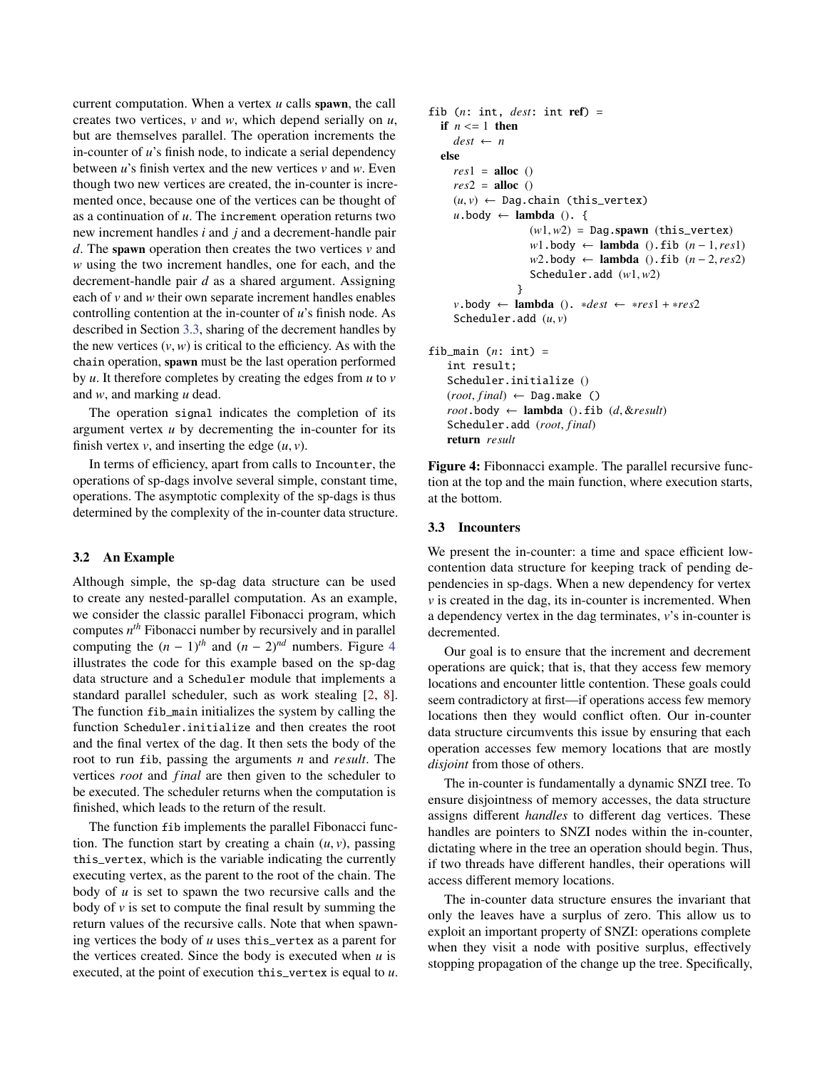current computation. When a vertex *u* calls spawn, the call creates two vertices, *v* and *w*, which depend serially on *u*, but are themselves parallel. The operation increments the in-counter of *u*'s finish node, to indicate a serial dependency between *u*'s finish vertex and the new vertices *v* and *w*. Even though two new vertices are created, the in-counter is incremented once, because one of the vertices can be thought of as a continuation of *u*. The increment operation returns two new increment handles *i* and *j* and a decrement-handle pair *d*. The spawn operation then creates the two vertices *v* and *w* using the two increment handles, one for each, and the decrement-handle pair *d* as a shared argument. Assigning each of *v* and *w* their own separate increment handles enables controlling contention at the in-counter of *u*'s finish node. As described in Section [3.3,](#page-5-0) sharing of the decrement handles by the new vertices  $(v, w)$  is critical to the efficiency. As with the chain operation, spawn must be the last operation performed by *u*. It therefore completes by creating the edges from *u* to *v* and *w*, and marking *u* dead.

The operation signal indicates the completion of its argument vertex *u* by decrementing the in-counter for its finish vertex  $v$ , and inserting the edge  $(u, v)$ .

In terms of efficiency, apart from calls to Incounter, the operations of sp-dags involve several simple, constant time, operations. The asymptotic complexity of the sp-dags is thus determined by the complexity of the in-counter data structure.

## 3.2 An Example

Although simple, the sp-dag data structure can be used to create any nested-parallel computation. As an example, we consider the classic parallel Fibonacci program, which computes *n th* Fibonacci number by recursively and in parallel computing the  $(n - 1)$ <sup>th</sup> and  $(n - 2)$ <sup>nd</sup> numbers. Figure [4](#page-5-1) illustrates the code for this example based on the sp-dag data structure and a Scheduler module that implements a standard parallel scheduler, such as work stealing [\[2,](#page-11-11) [8\]](#page-11-12). The function fib\_main initializes the system by calling the function Scheduler.initialize and then creates the root and the final vertex of the dag. It then sets the body of the root to run fib, passing the arguments *n* and *result*. The vertices *root* and *f inal* are then given to the scheduler to be executed. The scheduler returns when the computation is finished, which leads to the return of the result.

The function fib implements the parallel Fibonacci function. The function start by creating a chain  $(u, v)$ , passing this\_vertex, which is the variable indicating the currently executing vertex, as the parent to the root of the chain. The body of *u* is set to spawn the two recursive calls and the body of *v* is set to compute the final result by summing the return values of the recursive calls. Note that when spawning vertices the body of *u* uses this\_vertex as a parent for the vertices created. Since the body is executed when *u* is executed, at the point of execution this\_vertex is equal to *u*.

```
fib (n: int, dest: int ref) =
  if n \leq 1 then
    dest \leftarrow nelse
    res1 =alloc ()
    res2 =alloc ()
    (u, v) \leftarrow Dag.chain (this_vertex)
    u \cdot \text{body} \leftarrow \text{lambda} (). {
                   (w1, w2) =Dag.spawn (this_vertex)
                   w1.body ← lambda ().fib (n − 1,res1)
                   w2.body ← lambda ().fib (n − 2,res2)
                   Scheduler.add (w1,w2)
                 }
    v.body ← lambda (). ∗dest ← ∗res1 + ∗res2
    Scheduler.add (u, v)
fib_main (n: int) =
   int result;
   Scheduler.initialize ()
   (root, final) \leftarrow Dag.make()root.body \leftarrow lambda ().fib (d, &result)
```
Figure 4: Fibonnacci example. The parallel recursive function at the top and the main function, where execution starts, at the bottom.

#### <span id="page-5-0"></span>3.3 Incounters

return *result*

Scheduler.add (root, final)

We present the in-counter: a time and space efficient lowcontention data structure for keeping track of pending dependencies in sp-dags. When a new dependency for vertex  $\nu$  is created in the dag, its in-counter is incremented. When a dependency vertex in the dag terminates, *v*'s in-counter is decremented.

Our goal is to ensure that the increment and decrement operations are quick; that is, that they access few memory locations and encounter little contention. These goals could seem contradictory at first—if operations access few memory locations then they would conflict often. Our in-counter data structure circumvents this issue by ensuring that each operation accesses few memory locations that are mostly *disjoint* from those of others.

The in-counter is fundamentally a dynamic SNZI tree. To ensure disjointness of memory accesses, the data structure assigns different *handles* to different dag vertices. These handles are pointers to SNZI nodes within the in-counter, dictating where in the tree an operation should begin. Thus, if two threads have different handles, their operations will access different memory locations.

The in-counter data structure ensures the invariant that only the leaves have a surplus of zero. This allow us to exploit an important property of SNZI: operations complete when they visit a node with positive surplus, effectively stopping propagation of the change up the tree. Specifically,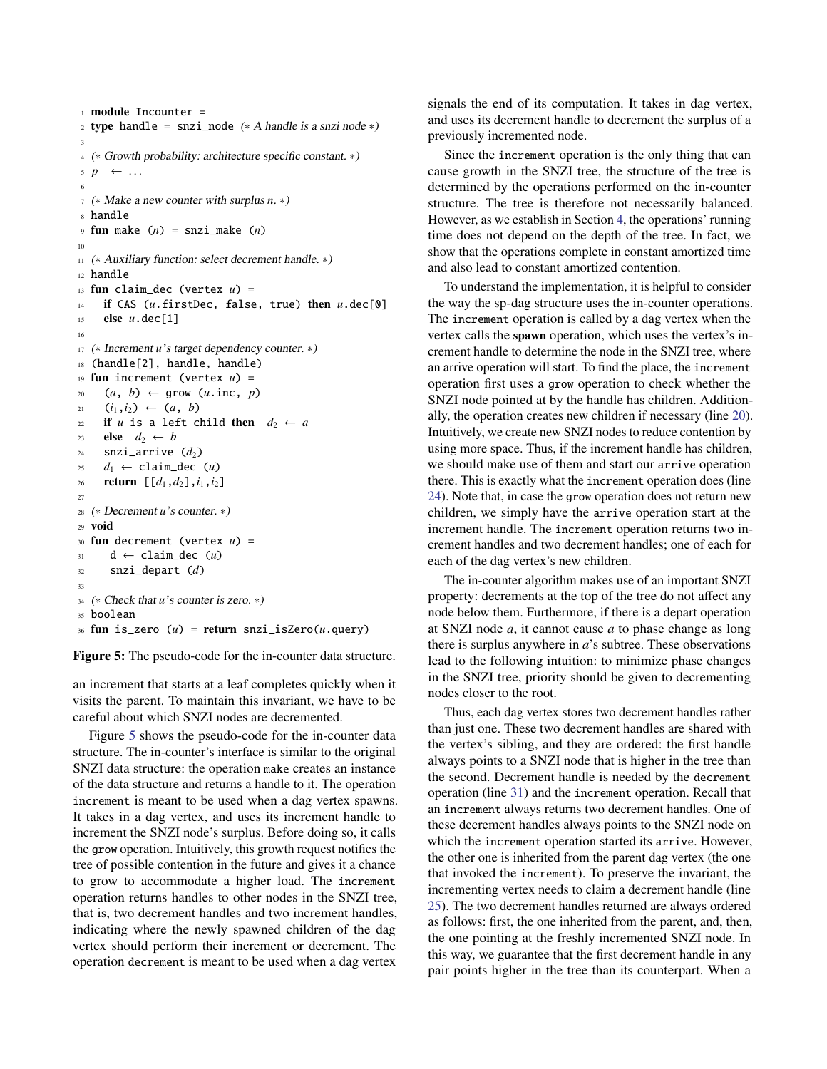```
1 module Incounter =
2 type handle = snzi_node (* A handle is a snzi node *)
 3
4 (∗ Growth probability: architecture specific constant. ∗)
p \leftarrow \dots6
7 (∗ Make a new counter with surplus n. ∗)
8 handle
9 fun make (n) = snzi_make (n)10
11 (* Auxiliary function: select decrement handle. *)
12 handle
13 fun claim_dec (vertex u) =
14 if CAS (u.firstDec, false, true) then u.dec[0]
15 else u.dec[1]
16
17 (* Increment u's target dependency counter. *)
18 (handle[2], handle, handle)
19 fun increment (vertex u) =
20 (a, b) \leftarrow \text{grow}(u.\text{inc}, p)21 (i_1, i_2) \leftarrow (a, b)22 if u is a left child then d_2 \leftarrow a23 else d_2 \leftarrow b24 \text{snz}i_arrive (d_2)25 d_1 \leftarrow \text{claim\_dec}(u)26 return [[d1,d2],i1,i2]
27
28 (∗ Decrement u's counter. ∗)
29 void
30 fun decrement (vertex u) =
31 d ← claim_dec (u)
32 snzi_depart (d)
33
34 (∗ Check that u's counter is zero. ∗)
35 boolean
36 fun is_zero (u) = return snzi_isZero(u.query)
```
<span id="page-6-4"></span><span id="page-6-3"></span><span id="page-6-2"></span><span id="page-6-1"></span>Figure 5: The pseudo-code for the in-counter data structure.

an increment that starts at a leaf completes quickly when it visits the parent. To maintain this invariant, we have to be careful about which SNZI nodes are decremented.

Figure [5](#page-6-0) shows the pseudo-code for the in-counter data structure. The in-counter's interface is similar to the original SNZI data structure: the operation make creates an instance of the data structure and returns a handle to it. The operation increment is meant to be used when a dag vertex spawns. It takes in a dag vertex, and uses its increment handle to increment the SNZI node's surplus. Before doing so, it calls the grow operation. Intuitively, this growth request notifies the tree of possible contention in the future and gives it a chance to grow to accommodate a higher load. The increment operation returns handles to other nodes in the SNZI tree, that is, two decrement handles and two increment handles, indicating where the newly spawned children of the dag vertex should perform their increment or decrement. The operation decrement is meant to be used when a dag vertex signals the end of its computation. It takes in dag vertex, and uses its decrement handle to decrement the surplus of a previously incremented node.

Since the increment operation is the only thing that can cause growth in the SNZI tree, the structure of the tree is determined by the operations performed on the in-counter structure. The tree is therefore not necessarily balanced. However, as we establish in Section [4,](#page-7-0) the operations' running time does not depend on the depth of the tree. In fact, we show that the operations complete in constant amortized time and also lead to constant amortized contention.

To understand the implementation, it is helpful to consider the way the sp-dag structure uses the in-counter operations. The increment operation is called by a dag vertex when the vertex calls the spawn operation, which uses the vertex's increment handle to determine the node in the SNZI tree, where an arrive operation will start. To find the place, the increment operation first uses a grow operation to check whether the SNZI node pointed at by the handle has children. Additionally, the operation creates new children if necessary (line [20\)](#page-6-1). Intuitively, we create new SNZI nodes to reduce contention by using more space. Thus, if the increment handle has children, we should make use of them and start our arrive operation there. This is exactly what the increment operation does (line [24\)](#page-6-2). Note that, in case the grow operation does not return new children, we simply have the arrive operation start at the increment handle. The increment operation returns two increment handles and two decrement handles; one of each for each of the dag vertex's new children.

The in-counter algorithm makes use of an important SNZI property: decrements at the top of the tree do not affect any node below them. Furthermore, if there is a depart operation at SNZI node *a*, it cannot cause *a* to phase change as long there is surplus anywhere in *a*'s subtree. These observations lead to the following intuition: to minimize phase changes in the SNZI tree, priority should be given to decrementing nodes closer to the root.

Thus, each dag vertex stores two decrement handles rather than just one. These two decrement handles are shared with the vertex's sibling, and they are ordered: the first handle always points to a SNZI node that is higher in the tree than the second. Decrement handle is needed by the decrement operation (line [31\)](#page-6-3) and the increment operation. Recall that an increment always returns two decrement handles. One of these decrement handles always points to the SNZI node on which the increment operation started its arrive. However, the other one is inherited from the parent dag vertex (the one that invoked the increment). To preserve the invariant, the incrementing vertex needs to claim a decrement handle (line [25\)](#page-6-4). The two decrement handles returned are always ordered as follows: first, the one inherited from the parent, and, then, the one pointing at the freshly incremented SNZI node. In this way, we guarantee that the first decrement handle in any pair points higher in the tree than its counterpart. When a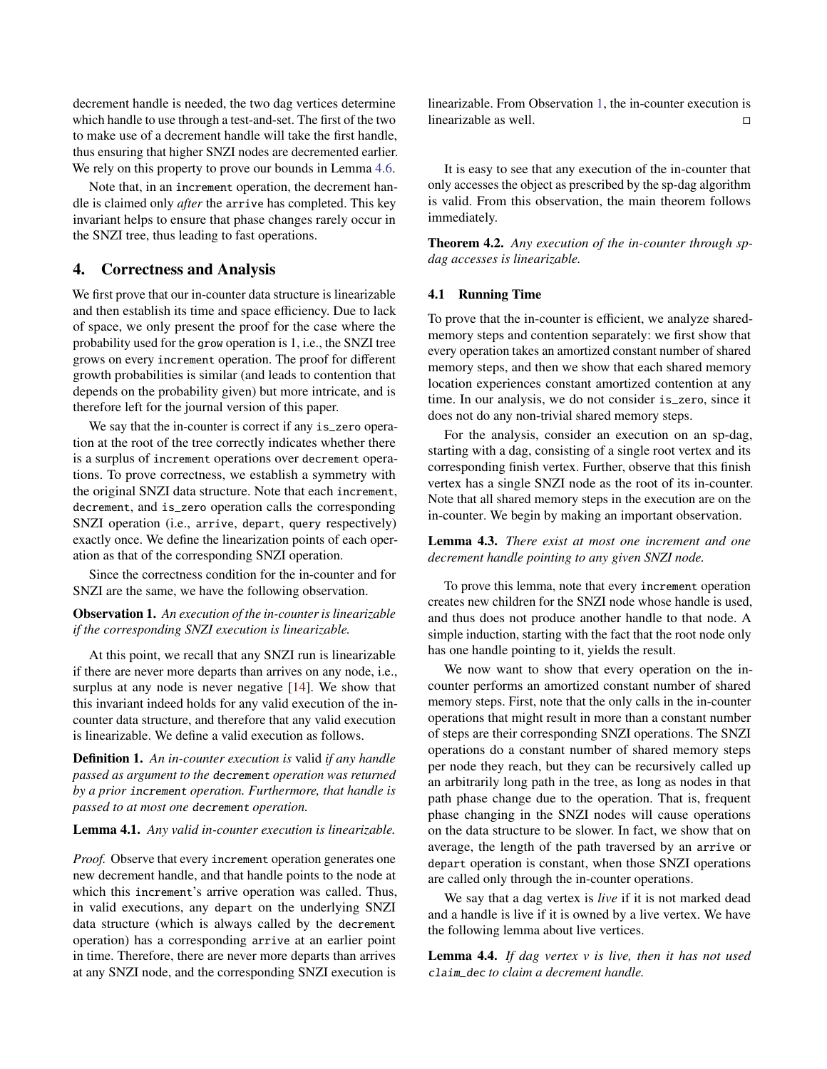decrement handle is needed, the two dag vertices determine which handle to use through a test-and-set. The first of the two to make use of a decrement handle will take the first handle, thus ensuring that higher SNZI nodes are decremented earlier. We rely on this property to prove our bounds in Lemma [4.6.](#page-8-0)

Note that, in an increment operation, the decrement handle is claimed only *after* the arrive has completed. This key invariant helps to ensure that phase changes rarely occur in the SNZI tree, thus leading to fast operations.

# <span id="page-7-0"></span>4. Correctness and Analysis

We first prove that our in-counter data structure is linearizable and then establish its time and space efficiency. Due to lack of space, we only present the proof for the case where the probability used for the grow operation is 1, i.e., the SNZI tree grows on every increment operation. The proof for different growth probabilities is similar (and leads to contention that depends on the probability given) but more intricate, and is therefore left for the journal version of this paper.

We say that the in-counter is correct if any is\_zero operation at the root of the tree correctly indicates whether there is a surplus of increment operations over decrement operations. To prove correctness, we establish a symmetry with the original SNZI data structure. Note that each increment, decrement, and is\_zero operation calls the corresponding SNZI operation (i.e., arrive, depart, query respectively) exactly once. We define the linearization points of each operation as that of the corresponding SNZI operation.

Since the correctness condition for the in-counter and for SNZI are the same, we have the following observation.

## <span id="page-7-1"></span>Observation 1. *An execution of the in-counter is linearizable if the corresponding SNZI execution is linearizable.*

At this point, we recall that any SNZI run is linearizable if there are never more departs than arrives on any node, i.e., surplus at any node is never negative [\[14\]](#page-11-0). We show that this invariant indeed holds for any valid execution of the incounter data structure, and therefore that any valid execution is linearizable. We define a valid execution as follows.

Definition 1. *An in-counter execution is* valid *if any handle passed as argument to the* decrement *operation was returned by a prior* increment *operation. Furthermore, that handle is passed to at most one* decrement *operation.*

#### Lemma 4.1. *Any valid in-counter execution is linearizable.*

*Proof.* Observe that every increment operation generates one new decrement handle, and that handle points to the node at which this increment's arrive operation was called. Thus, in valid executions, any depart on the underlying SNZI data structure (which is always called by the decrement operation) has a corresponding arrive at an earlier point in time. Therefore, there are never more departs than arrives at any SNZI node, and the corresponding SNZI execution is linearizable. From Observation [1,](#page-7-1) the in-counter execution is linearizable as well.

It is easy to see that any execution of the in-counter that only accesses the object as prescribed by the sp-dag algorithm is valid. From this observation, the main theorem follows immediately.

Theorem 4.2. *Any execution of the in-counter through spdag accesses is linearizable.*

#### 4.1 Running Time

To prove that the in-counter is efficient, we analyze sharedmemory steps and contention separately: we first show that every operation takes an amortized constant number of shared memory steps, and then we show that each shared memory location experiences constant amortized contention at any time. In our analysis, we do not consider is\_zero, since it does not do any non-trivial shared memory steps.

For the analysis, consider an execution on an sp-dag, starting with a dag, consisting of a single root vertex and its corresponding finish vertex. Further, observe that this finish vertex has a single SNZI node as the root of its in-counter. Note that all shared memory steps in the execution are on the in-counter. We begin by making an important observation.

# <span id="page-7-3"></span>Lemma 4.3. *There exist at most one increment and one decrement handle pointing to any given SNZI node.*

To prove this lemma, note that every increment operation creates new children for the SNZI node whose handle is used, and thus does not produce another handle to that node. A simple induction, starting with the fact that the root node only has one handle pointing to it, yields the result.

We now want to show that every operation on the incounter performs an amortized constant number of shared memory steps. First, note that the only calls in the in-counter operations that might result in more than a constant number of steps are their corresponding SNZI operations. The SNZI operations do a constant number of shared memory steps per node they reach, but they can be recursively called up an arbitrarily long path in the tree, as long as nodes in that path phase change due to the operation. That is, frequent phase changing in the SNZI nodes will cause operations on the data structure to be slower. In fact, we show that on average, the length of the path traversed by an arrive or depart operation is constant, when those SNZI operations are called only through the in-counter operations.

We say that a dag vertex is *live* if it is not marked dead and a handle is live if it is owned by a live vertex. We have the following lemma about live vertices.

<span id="page-7-2"></span>Lemma 4.4. *If dag vertex v is live, then it has not used* claim\_dec *to claim a decrement handle.*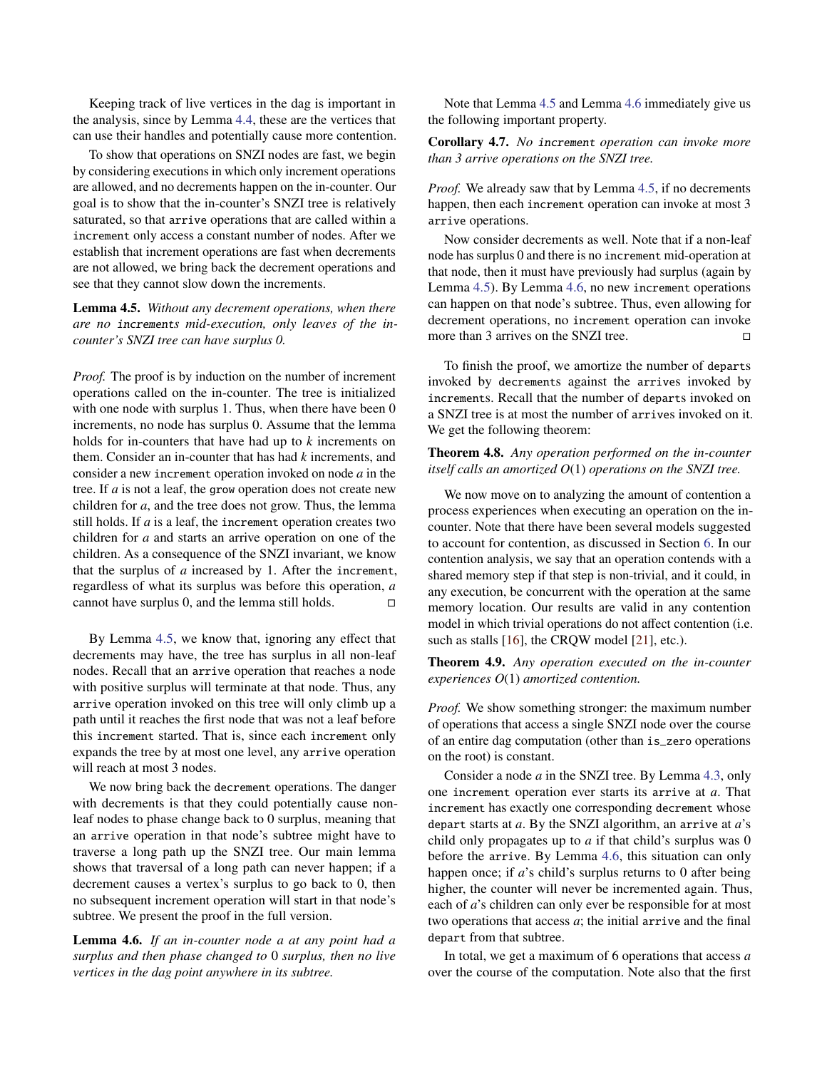Keeping track of live vertices in the dag is important in the analysis, since by Lemma [4.4,](#page-7-2) these are the vertices that can use their handles and potentially cause more contention.

To show that operations on SNZI nodes are fast, we begin by considering executions in which only increment operations are allowed, and no decrements happen on the in-counter. Our goal is to show that the in-counter's SNZI tree is relatively saturated, so that arrive operations that are called within a increment only access a constant number of nodes. After we establish that increment operations are fast when decrements are not allowed, we bring back the decrement operations and see that they cannot slow down the increments.

<span id="page-8-1"></span>Lemma 4.5. *Without any decrement operations, when there are no* increment*s mid-execution, only leaves of the incounter's SNZI tree can have surplus 0.*

*Proof.* The proof is by induction on the number of increment operations called on the in-counter. The tree is initialized with one node with surplus 1. Thus, when there have been 0 increments, no node has surplus 0. Assume that the lemma holds for in-counters that have had up to *k* increments on them. Consider an in-counter that has had *k* increments, and consider a new increment operation invoked on node *a* in the tree. If *a* is not a leaf, the grow operation does not create new children for *a*, and the tree does not grow. Thus, the lemma still holds. If *a* is a leaf, the increment operation creates two children for *a* and starts an arrive operation on one of the children. As a consequence of the SNZI invariant, we know that the surplus of *a* increased by 1. After the increment, regardless of what its surplus was before this operation, *a* cannot have surplus 0, and the lemma still holds.  $\square$ 

By Lemma [4.5,](#page-8-1) we know that, ignoring any effect that decrements may have, the tree has surplus in all non-leaf nodes. Recall that an arrive operation that reaches a node with positive surplus will terminate at that node. Thus, any arrive operation invoked on this tree will only climb up a path until it reaches the first node that was not a leaf before this increment started. That is, since each increment only expands the tree by at most one level, any arrive operation will reach at most 3 nodes.

We now bring back the decrement operations. The danger with decrements is that they could potentially cause nonleaf nodes to phase change back to 0 surplus, meaning that an arrive operation in that node's subtree might have to traverse a long path up the SNZI tree. Our main lemma shows that traversal of a long path can never happen; if a decrement causes a vertex's surplus to go back to 0, then no subsequent increment operation will start in that node's subtree. We present the proof in the full version.

<span id="page-8-0"></span>Lemma 4.6. *If an in-counter node a at any point had a surplus and then phase changed to* 0 *surplus, then no live vertices in the dag point anywhere in its subtree.*

Note that Lemma [4.5](#page-8-1) and Lemma [4.6](#page-8-0) immediately give us the following important property.

Corollary 4.7. *No* increment *operation can invoke more than 3 arrive operations on the SNZI tree.*

*Proof.* We already saw that by Lemma [4.5,](#page-8-1) if no decrements happen, then each increment operation can invoke at most 3 arrive operations.

Now consider decrements as well. Note that if a non-leaf node has surplus 0 and there is no increment mid-operation at that node, then it must have previously had surplus (again by Lemma [4.5\)](#page-8-1). By Lemma [4.6,](#page-8-0) no new increment operations can happen on that node's subtree. Thus, even allowing for decrement operations, no increment operation can invoke more than 3 arrives on the SNZI tree.

To finish the proof, we amortize the number of departs invoked by decrements against the arrives invoked by increments. Recall that the number of departs invoked on a SNZI tree is at most the number of arrives invoked on it. We get the following theorem:

# <span id="page-8-2"></span>Theorem 4.8. *Any operation performed on the in-counter itself calls an amortized O*(1) *operations on the SNZI tree.*

We now move on to analyzing the amount of contention a process experiences when executing an operation on the incounter. Note that there have been several models suggested to account for contention, as discussed in Section [6.](#page-10-0) In our contention analysis, we say that an operation contends with a shared memory step if that step is non-trivial, and it could, in any execution, be concurrent with the operation at the same memory location. Our results are valid in any contention model in which trivial operations do not affect contention (i.e. such as stalls [\[16\]](#page-11-5), the CRQW model [\[21\]](#page-12-17), etc.).

<span id="page-8-3"></span>Theorem 4.9. *Any operation executed on the in-counter experiences O*(1) *amortized contention.*

*Proof.* We show something stronger: the maximum number of operations that access a single SNZI node over the course of an entire dag computation (other than is\_zero operations on the root) is constant.

Consider a node *a* in the SNZI tree. By Lemma [4.3,](#page-7-3) only one increment operation ever starts its arrive at *a*. That increment has exactly one corresponding decrement whose depart starts at *a*. By the SNZI algorithm, an arrive at *a*'s child only propagates up to *a* if that child's surplus was 0 before the arrive. By Lemma [4.6,](#page-8-0) this situation can only happen once; if *a*'s child's surplus returns to 0 after being higher, the counter will never be incremented again. Thus, each of *a*'s children can only ever be responsible for at most two operations that access *a*; the initial arrive and the final depart from that subtree.

In total, we get a maximum of 6 operations that access *a* over the course of the computation. Note also that the first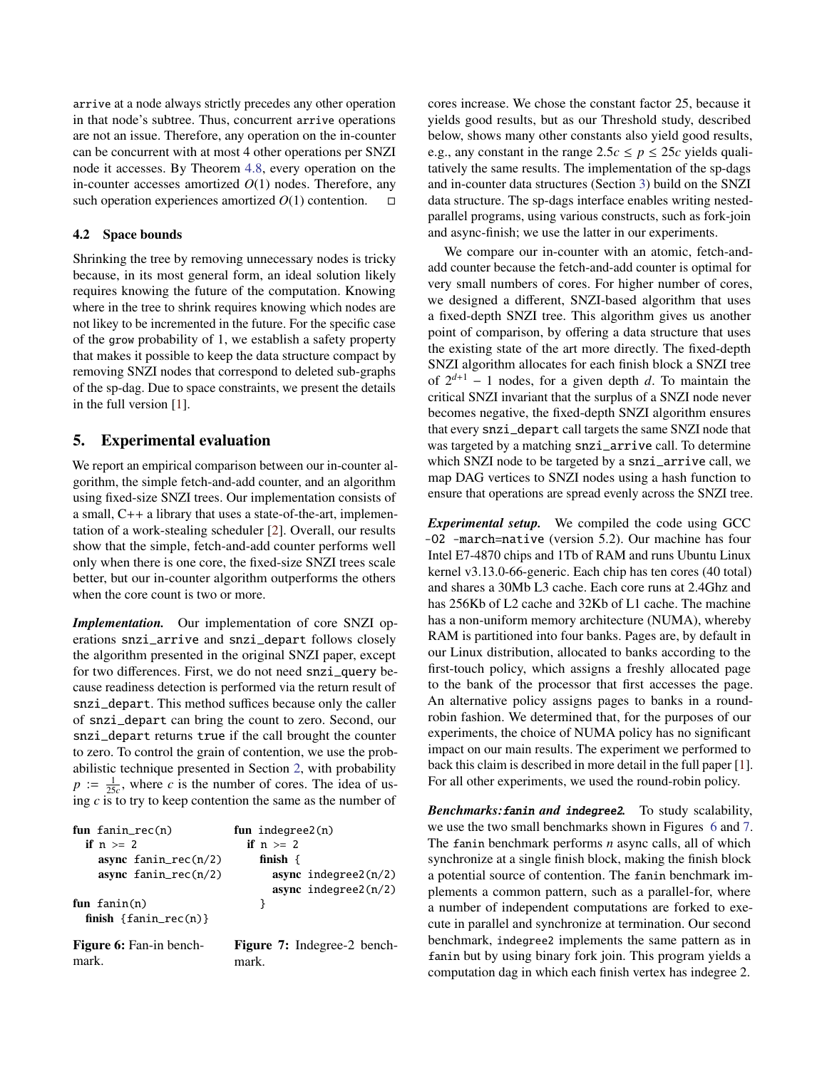arrive at a node always strictly precedes any other operation in that node's subtree. Thus, concurrent arrive operations are not an issue. Therefore, any operation on the in-counter can be concurrent with at most 4 other operations per SNZI node it accesses. By Theorem [4.8,](#page-8-2) every operation on the in-counter accesses amortized *O*(1) nodes. Therefore, any such operation experiences amortized  $O(1)$  contention.  $\square$ 

## 4.2 Space bounds

Shrinking the tree by removing unnecessary nodes is tricky because, in its most general form, an ideal solution likely requires knowing the future of the computation. Knowing where in the tree to shrink requires knowing which nodes are not likey to be incremented in the future. For the specific case of the grow probability of 1, we establish a safety property that makes it possible to keep the data structure compact by removing SNZI nodes that correspond to deleted sub-graphs of the sp-dag. Due to space constraints, we present the details in the full version [\[1\]](#page-11-9).

# <span id="page-9-0"></span>5. Experimental evaluation

We report an empirical comparison between our in-counter algorithm, the simple fetch-and-add counter, and an algorithm using fixed-size SNZI trees. Our implementation consists of a small, C++ a library that uses a state-of-the-art, implementation of a work-stealing scheduler [\[2\]](#page-11-11). Overall, our results show that the simple, fetch-and-add counter performs well only when there is one core, the fixed-size SNZI trees scale better, but our in-counter algorithm outperforms the others when the core count is two or more.

*Implementation.* Our implementation of core SNZI operations snzi\_arrive and snzi\_depart follows closely the algorithm presented in the original SNZI paper, except for two differences. First, we do not need snzi\_query because readiness detection is performed via the return result of snzi\_depart. This method suffices because only the caller of snzi\_depart can bring the count to zero. Second, our snzi\_depart returns true if the call brought the counter to zero. To control the grain of contention, we use the probabilistic technique presented in Section [2,](#page-2-0) with probability  $p := \frac{1}{25c}$ , where *c* is the number of cores. The idea of using *c* is to try to keep contention the same as the number of

<span id="page-9-1"></span>

| fun $fanin\_rec(n)$                     | fun indegree $2(n)$                         |
|-----------------------------------------|---------------------------------------------|
| if $n \geq 2$                           | if $n \geq 2$                               |
| async $fanin\_rec(n/2)$                 | finish $\{$                                 |
| async $fanin\_rec(n/2)$                 | async indegree2 $(n/2)$                     |
|                                         | async $indegree2(n/2)$                      |
| fun $fanh(n)$                           |                                             |
| finish $\{f_{\text{anin\_rec}(n)}\}$    |                                             |
| <b>Figure 6:</b> Fan-in bench-<br>mark. | <b>Figure 7:</b> Indegree-2 bench-<br>mark. |

cores increase. We chose the constant factor 25, because it yields good results, but as our Threshold study, described below, shows many other constants also yield good results, e.g., any constant in the range  $2.5c \leq p \leq 25c$  yields qualitatively the same results. The implementation of the sp-dags and in-counter data structures (Section [3\)](#page-3-0) build on the SNZI data structure. The sp-dags interface enables writing nestedparallel programs, using various constructs, such as fork-join and async-finish; we use the latter in our experiments.

We compare our in-counter with an atomic, fetch-andadd counter because the fetch-and-add counter is optimal for very small numbers of cores. For higher number of cores, we designed a different, SNZI-based algorithm that uses a fixed-depth SNZI tree. This algorithm gives us another point of comparison, by offering a data structure that uses the existing state of the art more directly. The fixed-depth SNZI algorithm allocates for each finish block a SNZI tree of  $2^{d+1}$  – 1 nodes, for a given depth *d*. To maintain the critical SNZI invariant that the surplus of a SNZI node never becomes negative, the fixed-depth SNZI algorithm ensures that every snzi\_depart call targets the same SNZI node that was targeted by a matching snzi\_arrive call. To determine which SNZI node to be targeted by a snzi\_arrive call, we map DAG vertices to SNZI nodes using a hash function to ensure that operations are spread evenly across the SNZI tree.

*Experimental setup.* We compiled the code using GCC -O2 -march=native (version 5.2). Our machine has four Intel E7-4870 chips and 1Tb of RAM and runs Ubuntu Linux kernel v3.13.0-66-generic. Each chip has ten cores (40 total) and shares a 30Mb L3 cache. Each core runs at 2.4Ghz and has 256Kb of L2 cache and 32Kb of L1 cache. The machine has a non-uniform memory architecture (NUMA), whereby RAM is partitioned into four banks. Pages are, by default in our Linux distribution, allocated to banks according to the first-touch policy, which assigns a freshly allocated page to the bank of the processor that first accesses the page. An alternative policy assigns pages to banks in a roundrobin fashion. We determined that, for the purposes of our experiments, the choice of NUMA policy has no significant impact on our main results. The experiment we performed to back this claim is described in more detail in the full paper [\[1\]](#page-11-9). For all other experiments, we used the round-robin policy.

*Benchmarks:*fanin *and* indegree2*.* To study scalability, we use the two small benchmarks shown in Figures [6](#page-9-1) and [7.](#page-9-1) The fanin benchmark performs *n* async calls, all of which synchronize at a single finish block, making the finish block a potential source of contention. The fanin benchmark implements a common pattern, such as a parallel-for, where a number of independent computations are forked to execute in parallel and synchronize at termination. Our second benchmark, indegree2 implements the same pattern as in fanin but by using binary fork join. This program yields a computation dag in which each finish vertex has indegree 2.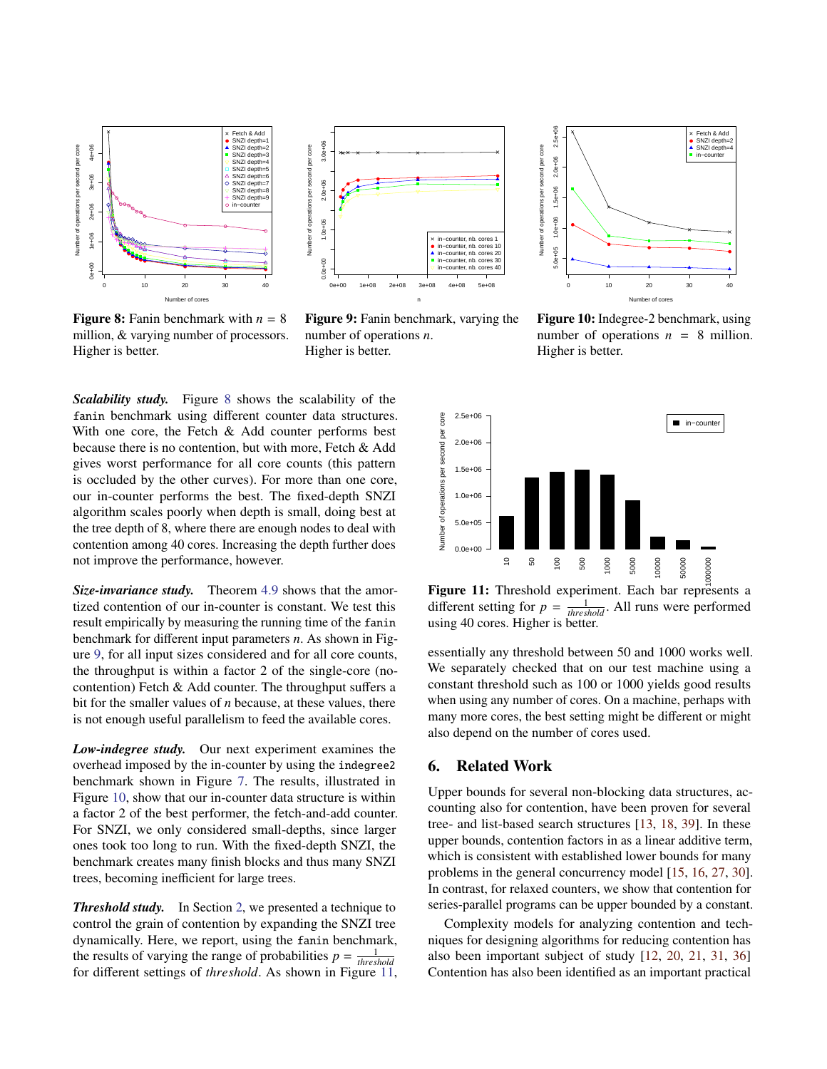<span id="page-10-1"></span>



**Figure 8:** Fanin benchmark with  $n = 8$ million, & varying number of processors. Higher is better.

Figure 9: Fanin benchmark, varying the number of operations *n*. Higher is better.

*Scalability study.* Figure [8](#page-10-1) shows the scalability of the fanin benchmark using different counter data structures. With one core, the Fetch  $\&$  Add counter performs best because there is no contention, but with more, Fetch & Add gives worst performance for all core counts (this pattern is occluded by the other curves). For more than one core, our in-counter performs the best. The fixed-depth SNZI algorithm scales poorly when depth is small, doing best at the tree depth of 8, where there are enough nodes to deal with contention among 40 cores. Increasing the depth further does not improve the performance, however.

*Size-invariance study.* Theorem [4.9](#page-8-3) shows that the amortized contention of our in-counter is constant. We test this result empirically by measuring the running time of the fanin benchmark for different input parameters *n*. As shown in Figure [9,](#page-10-1) for all input sizes considered and for all core counts, the throughput is within a factor 2 of the single-core (nocontention) Fetch & Add counter. The throughput suffers a bit for the smaller values of *n* because, at these values, there is not enough useful parallelism to feed the available cores. not improve the performance, nowever.<br>
Size-invariance study. Theorem 4.9 shows that the amor-<br>
trigal contention of our in-counter is consistent. We test this different setting for  $p = \frac{1}{100}$ <br>
streshold according for

*Low-indegree study.* Our next experiment examines the overhead imposed by the in-counter by using the indegree2 benchmark shown in Figure [7.](#page-9-1) The results, illustrated in Figure [10,](#page-10-1) show that our in-counter data structure is within a factor 2 of the best performer, the fetch-and-add counter. For SNZI, we only considered small-depths, since larger ones took too long to run. With the fixed-depth SNZI, the benchmark creates many finish blocks and thus many SNZI trees, becoming inefficient for large trees.

*Threshold study.* In Section [2,](#page-2-0) we presented a technique to control the grain of contention by expanding the SNZI tree dynamically. Here, we report, using the fanin benchmark, the results of varying the range of probabilities  $p = \frac{1}{threshold}$ 



Figure 10: Indegree-2 benchmark, using number of operations  $n = 8$  million. Higher is better.

<span id="page-10-2"></span>

Figure 11: Threshold experiment. Each bar represents a different setting for  $p = \frac{1}{threshold}$ . All runs were performed using 40 cores. Higher is better.

essentially any threshold between 50 and 1000 works well. We separately checked that on our test machine using a constant threshold such as 100 or 1000 yields good results when using any number of cores. On a machine, perhaps with many more cores, the best setting might be different or might also depend on the number of cores used.

# <span id="page-10-0"></span>6. Related Work

Upper bounds for several non-blocking data structures, accounting also for contention, have been proven for several tree- and list-based search structures [\[13,](#page-11-3) [18,](#page-12-6) [39\]](#page-12-7). In these upper bounds, contention factors in as a linear additive term, which is consistent with established lower bounds for many problems in the general concurrency model [\[15,](#page-11-13) [16,](#page-11-5) [27,](#page-12-8) [30\]](#page-12-9). In contrast, for relaxed counters, we show that contention for series-parallel programs can be upper bounded by a constant.

Complexity models for analyzing contention and techniques for designing algorithms for reducing contention has also been important subject of study [\[12,](#page-11-4) [20,](#page-12-18) [21,](#page-12-17) [31,](#page-12-19) [36\]](#page-12-20) Contention has also been identified as an important practical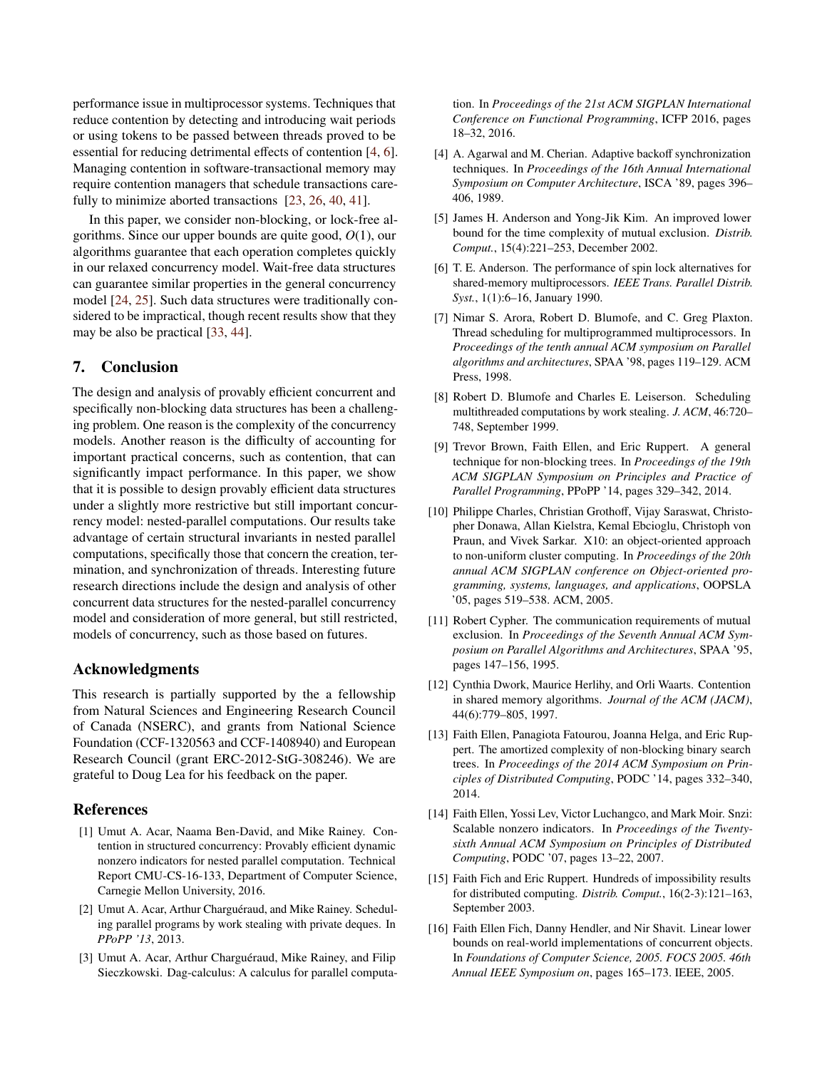performance issue in multiprocessor systems. Techniques that reduce contention by detecting and introducing wait periods or using tokens to be passed between threads proved to be essential for reducing detrimental effects of contention [\[4,](#page-11-14) [6\]](#page-11-15). Managing contention in software-transactional memory may require contention managers that schedule transactions care-fully to minimize aborted transactions [\[23,](#page-12-21) [26,](#page-12-22) [40,](#page-12-23) [41\]](#page-12-24).

In this paper, we consider non-blocking, or lock-free algorithms. Since our upper bounds are quite good, *O*(1), our algorithms guarantee that each operation completes quickly in our relaxed concurrency model. Wait-free data structures can guarantee similar properties in the general concurrency model [\[24,](#page-12-25) [25\]](#page-12-26). Such data structures were traditionally considered to be impractical, though recent results show that they may be also be practical [\[33,](#page-12-27) [44\]](#page-12-28).

# 7. Conclusion

The design and analysis of provably efficient concurrent and specifically non-blocking data structures has been a challenging problem. One reason is the complexity of the concurrency models. Another reason is the difficulty of accounting for important practical concerns, such as contention, that can significantly impact performance. In this paper, we show that it is possible to design provably efficient data structures under a slightly more restrictive but still important concurrency model: nested-parallel computations. Our results take advantage of certain structural invariants in nested parallel computations, specifically those that concern the creation, termination, and synchronization of threads. Interesting future research directions include the design and analysis of other concurrent data structures for the nested-parallel concurrency model and consideration of more general, but still restricted, models of concurrency, such as those based on futures.

# Acknowledgments

This research is partially supported by the a fellowship from Natural Sciences and Engineering Research Council of Canada (NSERC), and grants from National Science Foundation (CCF-1320563 and CCF-1408940) and European Research Council (grant ERC-2012-StG-308246). We are grateful to Doug Lea for his feedback on the paper.

## References

- <span id="page-11-9"></span>[1] Umut A. Acar, Naama Ben-David, and Mike Rainey. Contention in structured concurrency: Provably efficient dynamic nonzero indicators for nested parallel computation. Technical Report CMU-CS-16-133, Department of Computer Science, Carnegie Mellon University, 2016.
- <span id="page-11-11"></span>[2] Umut A. Acar, Arthur Charguéraud, and Mike Rainey. Scheduling parallel programs by work stealing with private deques. In *PPoPP '13*, 2013.
- <span id="page-11-10"></span>[3] Umut A. Acar, Arthur Charguéraud, Mike Rainey, and Filip Sieczkowski. Dag-calculus: A calculus for parallel computa-

tion. In *Proceedings of the 21st ACM SIGPLAN International Conference on Functional Programming*, ICFP 2016, pages 18–32, 2016.

- <span id="page-11-14"></span>[4] A. Agarwal and M. Cherian. Adaptive backoff synchronization techniques. In *Proceedings of the 16th Annual International Symposium on Computer Architecture*, ISCA '89, pages 396– 406, 1989.
- <span id="page-11-6"></span>[5] James H. Anderson and Yong-Jik Kim. An improved lower bound for the time complexity of mutual exclusion. *Distrib. Comput.*, 15(4):221–253, December 2002.
- <span id="page-11-15"></span>[6] T. E. Anderson. The performance of spin lock alternatives for shared-memory multiprocessors. *IEEE Trans. Parallel Distrib. Syst.*, 1(1):6–16, January 1990.
- <span id="page-11-1"></span>[7] Nimar S. Arora, Robert D. Blumofe, and C. Greg Plaxton. Thread scheduling for multiprogrammed multiprocessors. In *Proceedings of the tenth annual ACM symposium on Parallel algorithms and architectures*, SPAA '98, pages 119–129. ACM Press, 1998.
- <span id="page-11-12"></span>[8] Robert D. Blumofe and Charles E. Leiserson. Scheduling multithreaded computations by work stealing. *J. ACM*, 46:720– 748, September 1999.
- <span id="page-11-2"></span>[9] Trevor Brown, Faith Ellen, and Eric Ruppert. A general technique for non-blocking trees. In *Proceedings of the 19th ACM SIGPLAN Symposium on Principles and Practice of Parallel Programming*, PPoPP '14, pages 329–342, 2014.
- <span id="page-11-8"></span>[10] Philippe Charles, Christian Grothoff, Vijay Saraswat, Christopher Donawa, Allan Kielstra, Kemal Ebcioglu, Christoph von Praun, and Vivek Sarkar. X10: an object-oriented approach to non-uniform cluster computing. In *Proceedings of the 20th annual ACM SIGPLAN conference on Object-oriented programming, systems, languages, and applications*, OOPSLA '05, pages 519–538. ACM, 2005.
- <span id="page-11-7"></span>[11] Robert Cypher. The communication requirements of mutual exclusion. In *Proceedings of the Seventh Annual ACM Symposium on Parallel Algorithms and Architectures*, SPAA '95, pages 147–156, 1995.
- <span id="page-11-4"></span>[12] Cynthia Dwork, Maurice Herlihy, and Orli Waarts. Contention in shared memory algorithms. *Journal of the ACM (JACM)*, 44(6):779–805, 1997.
- <span id="page-11-3"></span>[13] Faith Ellen, Panagiota Fatourou, Joanna Helga, and Eric Ruppert. The amortized complexity of non-blocking binary search trees. In *Proceedings of the 2014 ACM Symposium on Principles of Distributed Computing*, PODC '14, pages 332–340, 2014.
- <span id="page-11-0"></span>[14] Faith Ellen, Yossi Lev, Victor Luchangco, and Mark Moir. Snzi: Scalable nonzero indicators. In *Proceedings of the Twentysixth Annual ACM Symposium on Principles of Distributed Computing*, PODC '07, pages 13–22, 2007.
- <span id="page-11-13"></span>[15] Faith Fich and Eric Ruppert. Hundreds of impossibility results for distributed computing. *Distrib. Comput.*, 16(2-3):121–163, September 2003.
- <span id="page-11-5"></span>[16] Faith Ellen Fich, Danny Hendler, and Nir Shavit. Linear lower bounds on real-world implementations of concurrent objects. In *Foundations of Computer Science, 2005. FOCS 2005. 46th Annual IEEE Symposium on*, pages 165–173. IEEE, 2005.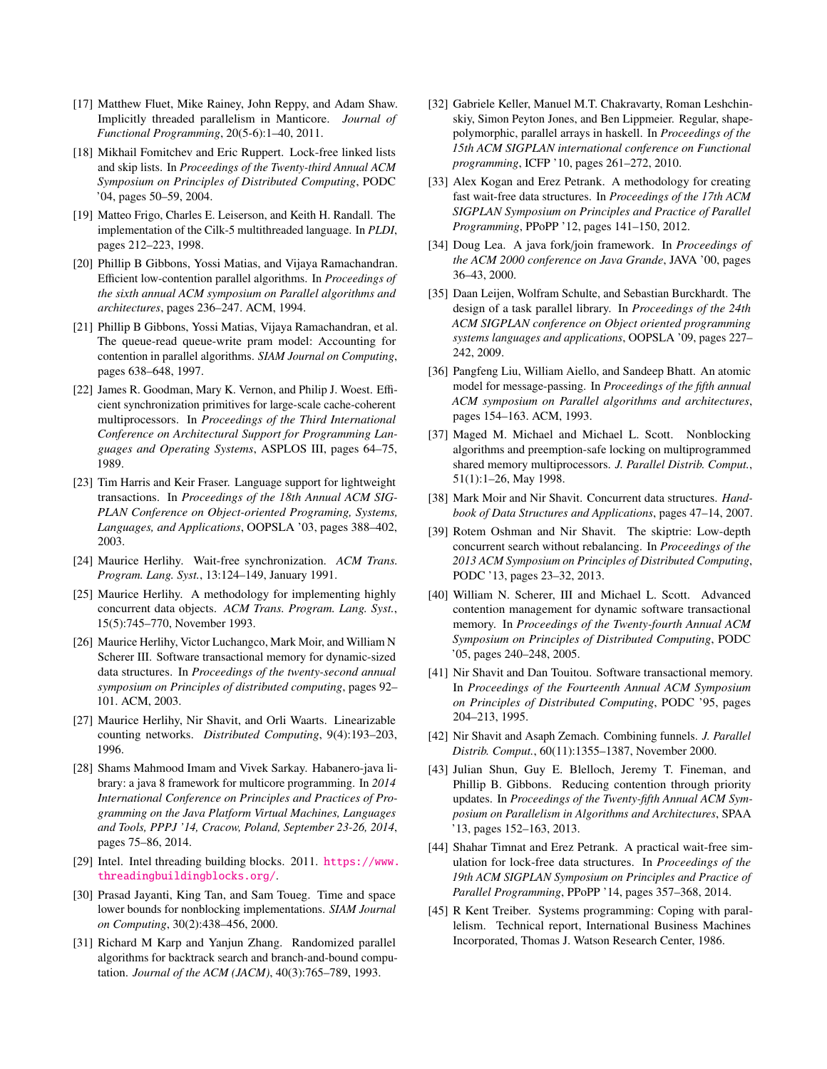- <span id="page-12-15"></span>[17] Matthew Fluet, Mike Rainey, John Reppy, and Adam Shaw. Implicitly threaded parallelism in Manticore. *Journal of Functional Programming*, 20(5-6):1–40, 2011.
- <span id="page-12-6"></span>[18] Mikhail Fomitchev and Eric Ruppert. Lock-free linked lists and skip lists. In *Proceedings of the Twenty-third Annual ACM Symposium on Principles of Distributed Computing*, PODC '04, pages 50–59, 2004.
- <span id="page-12-10"></span>[19] Matteo Frigo, Charles E. Leiserson, and Keith H. Randall. The implementation of the Cilk-5 multithreaded language. In *PLDI*, pages 212–223, 1998.
- <span id="page-12-18"></span>[20] Phillip B Gibbons, Yossi Matias, and Vijaya Ramachandran. Efficient low-contention parallel algorithms. In *Proceedings of the sixth annual ACM symposium on Parallel algorithms and architectures*, pages 236–247. ACM, 1994.
- <span id="page-12-17"></span>[21] Phillip B Gibbons, Yossi Matias, Vijaya Ramachandran, et al. The queue-read queue-write pram model: Accounting for contention in parallel algorithms. *SIAM Journal on Computing*, pages 638–648, 1997.
- <span id="page-12-1"></span>[22] James R. Goodman, Mary K. Vernon, and Philip J. Woest. Efficient synchronization primitives for large-scale cache-coherent multiprocessors. In *Proceedings of the Third International Conference on Architectural Support for Programming Languages and Operating Systems*, ASPLOS III, pages 64–75, 1989.
- <span id="page-12-21"></span>[23] Tim Harris and Keir Fraser. Language support for lightweight transactions. In *Proceedings of the 18th Annual ACM SIG-PLAN Conference on Object-oriented Programing, Systems, Languages, and Applications*, OOPSLA '03, pages 388–402, 2003.
- <span id="page-12-25"></span>[24] Maurice Herlihy. Wait-free synchronization. *ACM Trans. Program. Lang. Syst.*, 13:124–149, January 1991.
- <span id="page-12-26"></span>[25] Maurice Herlihy. A methodology for implementing highly concurrent data objects. *ACM Trans. Program. Lang. Syst.*, 15(5):745–770, November 1993.
- <span id="page-12-22"></span>[26] Maurice Herlihy, Victor Luchangco, Mark Moir, and William N Scherer III. Software transactional memory for dynamic-sized data structures. In *Proceedings of the twenty-second annual symposium on Principles of distributed computing*, pages 92– 101. ACM, 2003.
- <span id="page-12-8"></span>[27] Maurice Herlihy, Nir Shavit, and Orli Waarts. Linearizable counting networks. *Distributed Computing*, 9(4):193–203, 1996.
- <span id="page-12-12"></span>[28] Shams Mahmood Imam and Vivek Sarkay. Habanero-java library: a java 8 framework for multicore programming. In *2014 International Conference on Principles and Practices of Programming on the Java Platform Virtual Machines, Languages and Tools, PPPJ '14, Cracow, Poland, September 23-26, 2014*, pages 75–86, 2014.
- <span id="page-12-14"></span>[29] Intel. Intel threading building blocks. 2011. [https://www.](https://www.threadingbuildingblocks.org/) [threadingbuildingblocks.org/](https://www.threadingbuildingblocks.org/).
- <span id="page-12-9"></span>[30] Prasad Jayanti, King Tan, and Sam Toueg. Time and space lower bounds for nonblocking implementations. *SIAM Journal on Computing*, 30(2):438–456, 2000.
- <span id="page-12-19"></span>[31] Richard M Karp and Yanjun Zhang. Randomized parallel algorithms for backtrack search and branch-and-bound computation. *Journal of the ACM (JACM)*, 40(3):765–789, 1993.
- <span id="page-12-16"></span>[32] Gabriele Keller, Manuel M.T. Chakravarty, Roman Leshchinskiy, Simon Peyton Jones, and Ben Lippmeier. Regular, shapepolymorphic, parallel arrays in haskell. In *Proceedings of the 15th ACM SIGPLAN international conference on Functional programming*, ICFP '10, pages 261–272, 2010.
- <span id="page-12-27"></span>[33] Alex Kogan and Erez Petrank. A methodology for creating fast wait-free data structures. In *Proceedings of the 17th ACM SIGPLAN Symposium on Principles and Practice of Parallel Programming*, PPoPP '12, pages 141–150, 2012.
- <span id="page-12-11"></span>[34] Doug Lea. A java fork/join framework. In *Proceedings of the ACM 2000 conference on Java Grande*, JAVA '00, pages 36–43, 2000.
- <span id="page-12-13"></span>[35] Daan Leijen, Wolfram Schulte, and Sebastian Burckhardt. The design of a task parallel library. In *Proceedings of the 24th ACM SIGPLAN conference on Object oriented programming systems languages and applications*, OOPSLA '09, pages 227– 242, 2009.
- <span id="page-12-20"></span>[36] Pangfeng Liu, William Aiello, and Sandeep Bhatt. An atomic model for message-passing. In *Proceedings of the fifth annual ACM symposium on Parallel algorithms and architectures*, pages 154–163. ACM, 1993.
- <span id="page-12-4"></span>[37] Maged M. Michael and Michael L. Scott. Nonblocking algorithms and preemption-safe locking on multiprogrammed shared memory multiprocessors. *J. Parallel Distrib. Comput.*, 51(1):1–26, May 1998.
- <span id="page-12-0"></span>[38] Mark Moir and Nir Shavit. Concurrent data structures. *Handbook of Data Structures and Applications*, pages 47–14, 2007.
- <span id="page-12-7"></span>[39] Rotem Oshman and Nir Shavit. The skiptrie: Low-depth concurrent search without rebalancing. In *Proceedings of the 2013 ACM Symposium on Principles of Distributed Computing*, PODC '13, pages 23–32, 2013.
- <span id="page-12-23"></span>[40] William N. Scherer, III and Michael L. Scott. Advanced contention management for dynamic software transactional memory. In *Proceedings of the Twenty-fourth Annual ACM Symposium on Principles of Distributed Computing*, PODC '05, pages 240–248, 2005.
- <span id="page-12-24"></span>[41] Nir Shavit and Dan Touitou. Software transactional memory. In *Proceedings of the Fourteenth Annual ACM Symposium on Principles of Distributed Computing*, PODC '95, pages 204–213, 1995.
- <span id="page-12-2"></span>[42] Nir Shavit and Asaph Zemach. Combining funnels. *J. Parallel Distrib. Comput.*, 60(11):1355–1387, November 2000.
- <span id="page-12-5"></span>[43] Julian Shun, Guy E. Blelloch, Jeremy T. Fineman, and Phillip B. Gibbons. Reducing contention through priority updates. In *Proceedings of the Twenty-fifth Annual ACM Symposium on Parallelism in Algorithms and Architectures*, SPAA '13, pages 152–163, 2013.
- <span id="page-12-28"></span>[44] Shahar Timnat and Erez Petrank. A practical wait-free simulation for lock-free data structures. In *Proceedings of the 19th ACM SIGPLAN Symposium on Principles and Practice of Parallel Programming*, PPoPP '14, pages 357–368, 2014.
- <span id="page-12-3"></span>[45] R Kent Treiber. Systems programming: Coping with parallelism. Technical report, International Business Machines Incorporated, Thomas J. Watson Research Center, 1986.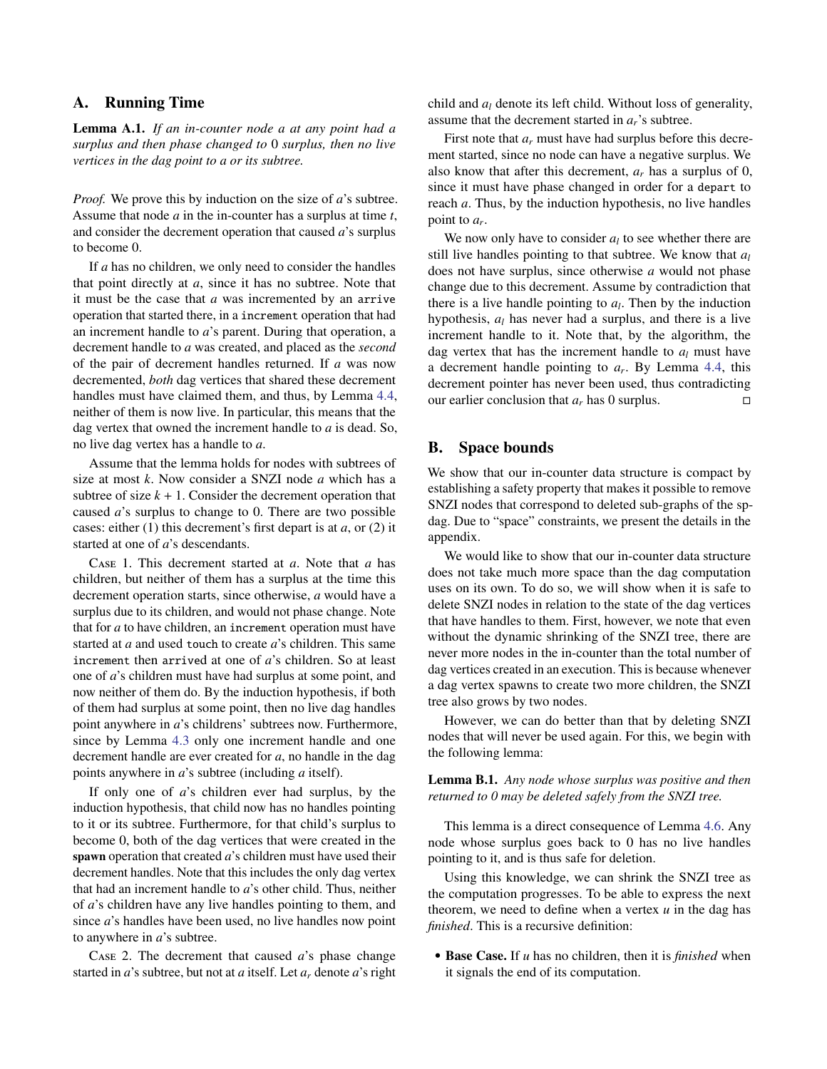# A. Running Time

Lemma A.1. *If an in-counter node a at any point had a surplus and then phase changed to* 0 *surplus, then no live vertices in the dag point to a or its subtree.*

*Proof.* We prove this by induction on the size of *a*'s subtree. Assume that node *a* in the in-counter has a surplus at time *t*, and consider the decrement operation that caused *a*'s surplus to become 0.

If *a* has no children, we only need to consider the handles that point directly at *a*, since it has no subtree. Note that it must be the case that *a* was incremented by an arrive operation that started there, in a increment operation that had an increment handle to *a*'s parent. During that operation, a decrement handle to *a* was created, and placed as the *second* of the pair of decrement handles returned. If *a* was now decremented, *both* dag vertices that shared these decrement handles must have claimed them, and thus, by Lemma [4.4,](#page-7-2) neither of them is now live. In particular, this means that the dag vertex that owned the increment handle to *a* is dead. So, no live dag vertex has a handle to *a*.

Assume that the lemma holds for nodes with subtrees of size at most *k*. Now consider a SNZI node *a* which has a subtree of size  $k + 1$ . Consider the decrement operation that caused *a*'s surplus to change to 0. There are two possible cases: either (1) this decrement's first depart is at *a*, or (2) it started at one of *a*'s descendants.

Case 1. This decrement started at *a*. Note that *a* has children, but neither of them has a surplus at the time this decrement operation starts, since otherwise, *a* would have a surplus due to its children, and would not phase change. Note that for *a* to have children, an increment operation must have started at *a* and used touch to create *a*'s children. This same increment then arrived at one of *a*'s children. So at least one of *a*'s children must have had surplus at some point, and now neither of them do. By the induction hypothesis, if both of them had surplus at some point, then no live dag handles point anywhere in *a*'s childrens' subtrees now. Furthermore, since by Lemma [4.3](#page-7-3) only one increment handle and one decrement handle are ever created for *a*, no handle in the dag points anywhere in *a*'s subtree (including *a* itself).

If only one of *a*'s children ever had surplus, by the induction hypothesis, that child now has no handles pointing to it or its subtree. Furthermore, for that child's surplus to become 0, both of the dag vertices that were created in the spawn operation that created *a*'s children must have used their decrement handles. Note that this includes the only dag vertex that had an increment handle to *a*'s other child. Thus, neither of *a*'s children have any live handles pointing to them, and since *a*'s handles have been used, no live handles now point to anywhere in *a*'s subtree.

Case 2. The decrement that caused *a*'s phase change started in *a*'s subtree, but not at *a* itself. Let *a<sup>r</sup>* denote *a*'s right child and *a<sup>l</sup>* denote its left child. Without loss of generality, assume that the decrement started in *ar*'s subtree.

First note that  $a_r$  must have had surplus before this decrement started, since no node can have a negative surplus. We also know that after this decrement, *a<sup>r</sup>* has a surplus of 0, since it must have phase changed in order for a depart to reach *a*. Thus, by the induction hypothesis, no live handles point to *a<sup>r</sup>* .

We now only have to consider  $a_l$  to see whether there are still live handles pointing to that subtree. We know that *a<sup>l</sup>* does not have surplus, since otherwise *a* would not phase change due to this decrement. Assume by contradiction that there is a live handle pointing to *a<sup>l</sup>* . Then by the induction hypothesis, *a<sup>l</sup>* has never had a surplus, and there is a live increment handle to it. Note that, by the algorithm, the dag vertex that has the increment handle to *a<sup>l</sup>* must have a decrement handle pointing to *a<sup>r</sup>* . By Lemma [4.4,](#page-7-2) this decrement pointer has never been used, thus contradicting our earlier conclusion that  $a_r$  has 0 surplus.

# B. Space bounds

We show that our in-counter data structure is compact by establishing a safety property that makes it possible to remove SNZI nodes that correspond to deleted sub-graphs of the spdag. Due to "space" constraints, we present the details in the appendix.

We would like to show that our in-counter data structure does not take much more space than the dag computation uses on its own. To do so, we will show when it is safe to delete SNZI nodes in relation to the state of the dag vertices that have handles to them. First, however, we note that even without the dynamic shrinking of the SNZI tree, there are never more nodes in the in-counter than the total number of dag vertices created in an execution. This is because whenever a dag vertex spawns to create two more children, the SNZI tree also grows by two nodes.

However, we can do better than that by deleting SNZI nodes that will never be used again. For this, we begin with the following lemma:

Lemma B.1. *Any node whose surplus was positive and then returned to 0 may be deleted safely from the SNZI tree.*

This lemma is a direct consequence of Lemma [4.6.](#page-8-0) Any node whose surplus goes back to 0 has no live handles pointing to it, and is thus safe for deletion.

Using this knowledge, we can shrink the SNZI tree as the computation progresses. To be able to express the next theorem, we need to define when a vertex  $u$  in the dag has *finished*. This is a recursive definition:

• Base Case. If *u* has no children, then it is *finished* when it signals the end of its computation.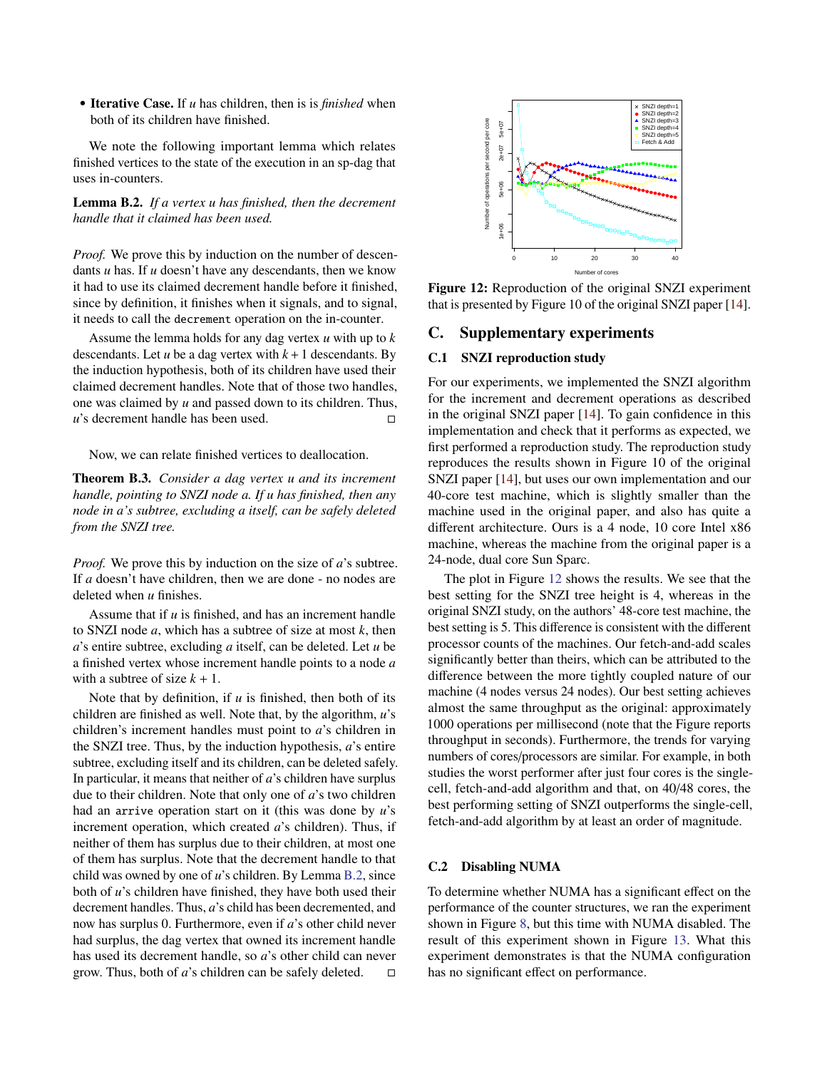• Iterative Case. If *u* has children, then is is *finished* when both of its children have finished.

We note the following important lemma which relates finished vertices to the state of the execution in an sp-dag that uses in-counters.

<span id="page-14-0"></span>Lemma B.2. *If a vertex u has finished, then the decrement handle that it claimed has been used.*

*Proof.* We prove this by induction on the number of descendants *u* has. If *u* doesn't have any descendants, then we know it had to use its claimed decrement handle before it finished, since by definition, it finishes when it signals, and to signal, it needs to call the decrement operation on the in-counter.

Assume the lemma holds for any dag vertex *u* with up to *k* descendants. Let  $u$  be a dag vertex with  $k + 1$  descendants. By the induction hypothesis, both of its children have used their claimed decrement handles. Note that of those two handles, one was claimed by *u* and passed down to its children. Thus, *u*'s decrement handle has been used. □

Now, we can relate finished vertices to deallocation.

Theorem B.3. *Consider a dag vertex u and its increment handle, pointing to SNZI node a. If u has finished, then any node in a's subtree, excluding a itself, can be safely deleted from the SNZI tree.*

*Proof.* We prove this by induction on the size of *a*'s subtree. If *a* doesn't have children, then we are done - no nodes are deleted when *u* finishes.

Assume that if *u* is finished, and has an increment handle to SNZI node *a*, which has a subtree of size at most *k*, then *a*'s entire subtree, excluding *a* itself, can be deleted. Let *u* be a finished vertex whose increment handle points to a node *a* with a subtree of size  $k + 1$ .

Note that by definition, if *u* is finished, then both of its children are finished as well. Note that, by the algorithm, *u*'s children's increment handles must point to *a*'s children in the SNZI tree. Thus, by the induction hypothesis, *a*'s entire subtree, excluding itself and its children, can be deleted safely. In particular, it means that neither of *a*'s children have surplus due to their children. Note that only one of *a*'s two children had an arrive operation start on it (this was done by *u*'s increment operation, which created *a*'s children). Thus, if neither of them has surplus due to their children, at most one of them has surplus. Note that the decrement handle to that child was owned by one of *u*'s children. By Lemma [B.2,](#page-14-0) since both of *u*'s children have finished, they have both used their decrement handles. Thus, *a*'s child has been decremented, and now has surplus 0. Furthermore, even if *a*'s other child never had surplus, the dag vertex that owned its increment handle has used its decrement handle, so *a*'s other child can never grow. Thus, both of *a*'s children can be safely deleted.

<span id="page-14-1"></span>

Figure 12: Reproduction of the original SNZI experiment that is presented by Figure 10 of the original SNZI paper [\[14\]](#page-11-0).

# C. Supplementary experiments

#### C.1 SNZI reproduction study

For our experiments, we implemented the SNZI algorithm for the increment and decrement operations as described in the original SNZI paper [\[14\]](#page-11-0). To gain confidence in this implementation and check that it performs as expected, we first performed a reproduction study. The reproduction study reproduces the results shown in Figure 10 of the original SNZI paper [\[14\]](#page-11-0), but uses our own implementation and our 40-core test machine, which is slightly smaller than the machine used in the original paper, and also has quite a different architecture. Ours is a 4 node, 10 core Intel x86 machine, whereas the machine from the original paper is a 24-node, dual core Sun Sparc.

The plot in Figure [12](#page-14-1) shows the results. We see that the best setting for the SNZI tree height is 4, whereas in the original SNZI study, on the authors' 48-core test machine, the best setting is 5. This difference is consistent with the different processor counts of the machines. Our fetch-and-add scales significantly better than theirs, which can be attributed to the difference between the more tightly coupled nature of our machine (4 nodes versus 24 nodes). Our best setting achieves almost the same throughput as the original: approximately 1000 operations per millisecond (note that the Figure reports throughput in seconds). Furthermore, the trends for varying numbers of cores/processors are similar. For example, in both studies the worst performer after just four cores is the singlecell, fetch-and-add algorithm and that, on 40/48 cores, the best performing setting of SNZI outperforms the single-cell, fetch-and-add algorithm by at least an order of magnitude.

#### C.2 Disabling NUMA

To determine whether NUMA has a significant effect on the performance of the counter structures, we ran the experiment shown in Figure [8,](#page-10-1) but this time with NUMA disabled. The result of this experiment shown in Figure [13.](#page-15-0) What this experiment demonstrates is that the NUMA configuration has no significant effect on performance.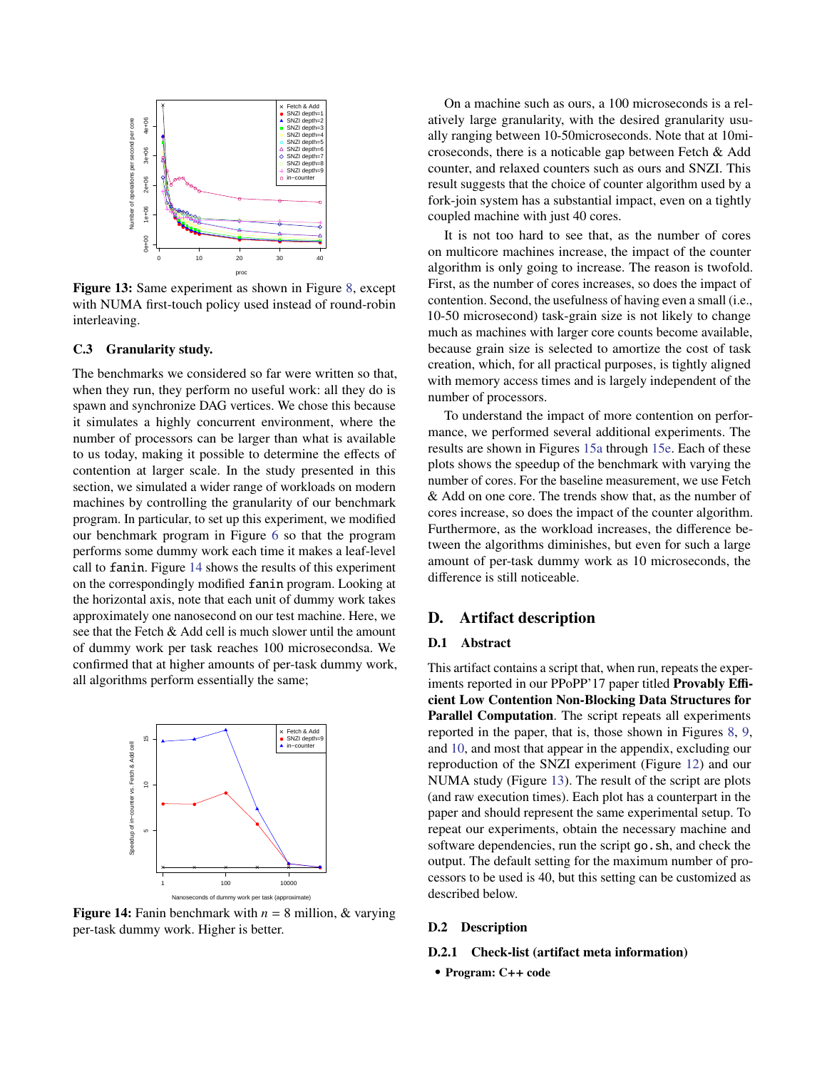<span id="page-15-0"></span>

Figure 13: Same experiment as shown in Figure [8,](#page-10-1) except with NUMA first-touch policy used instead of round-robin interleaving.

## <span id="page-15-2"></span>C.3 Granularity study.

The benchmarks we considered so far were written so that, when they run, they perform no useful work: all they do is spawn and synchronize DAG vertices. We chose this because it simulates a highly concurrent environment, where the number of processors can be larger than what is available to us today, making it possible to determine the effects of contention at larger scale. In the study presented in this section, we simulated a wider range of workloads on modern machines by controlling the granularity of our benchmark program. In particular, to set up this experiment, we modified our benchmark program in Figure [6](#page-9-1) so that the program performs some dummy work each time it makes a leaf-level call to fanin. Figure [14](#page-15-1) shows the results of this experiment on the correspondingly modified fanin program. Looking at the horizontal axis, note that each unit of dummy work takes approximately one nanosecond on our test machine. Here, we see that the Fetch & Add cell is much slower until the amount of dummy work per task reaches 100 microsecondsa. We confirmed that at higher amounts of per-task dummy work, all algorithms perform essentially the same;

<span id="page-15-1"></span>

**Figure 14:** Fanin benchmark with  $n = 8$  million, & varying per-task dummy work. Higher is better.

On a machine such as ours, a 100 microseconds is a relatively large granularity, with the desired granularity usually ranging between 10-50microseconds. Note that at 10microseconds, there is a noticable gap between Fetch & Add counter, and relaxed counters such as ours and SNZI. This result suggests that the choice of counter algorithm used by a fork-join system has a substantial impact, even on a tightly coupled machine with just 40 cores.

It is not too hard to see that, as the number of cores on multicore machines increase, the impact of the counter algorithm is only going to increase. The reason is twofold. First, as the number of cores increases, so does the impact of contention. Second, the usefulness of having even a small (i.e., 10-50 microsecond) task-grain size is not likely to change much as machines with larger core counts become available, because grain size is selected to amortize the cost of task creation, which, for all practical purposes, is tightly aligned with memory access times and is largely independent of the number of processors.

To understand the impact of more contention on performance, we performed several additional experiments. The results are shown in Figures [15a](#page-16-0) through [15e.](#page-16-0) Each of these plots shows the speedup of the benchmark with varying the number of cores. For the baseline measurement, we use Fetch & Add on one core. The trends show that, as the number of cores increase, so does the impact of the counter algorithm. Furthermore, as the workload increases, the difference between the algorithms diminishes, but even for such a large amount of per-task dummy work as 10 microseconds, the difference is still noticeable.

# D. Artifact description

## D.1 Abstract

This artifact contains a script that, when run, repeats the experiments reported in our PPoPP'17 paper titled Provably Efficient Low Contention Non-Blocking Data Structures for Parallel Computation. The script repeats all experiments reported in the paper, that is, those shown in Figures [8,](#page-10-1) [9,](#page-10-1) and [10,](#page-10-1) and most that appear in the appendix, excluding our reproduction of the SNZI experiment (Figure [12\)](#page-14-1) and our NUMA study (Figure [13\)](#page-15-0). The result of the script are plots (and raw execution times). Each plot has a counterpart in the paper and should represent the same experimental setup. To repeat our experiments, obtain the necessary machine and software dependencies, run the script go.sh, and check the output. The default setting for the maximum number of processors to be used is 40, but this setting can be customized as described below.

#### D.2 Description

#### D.2.1 Check-list (artifact meta information)

• Program: C++ code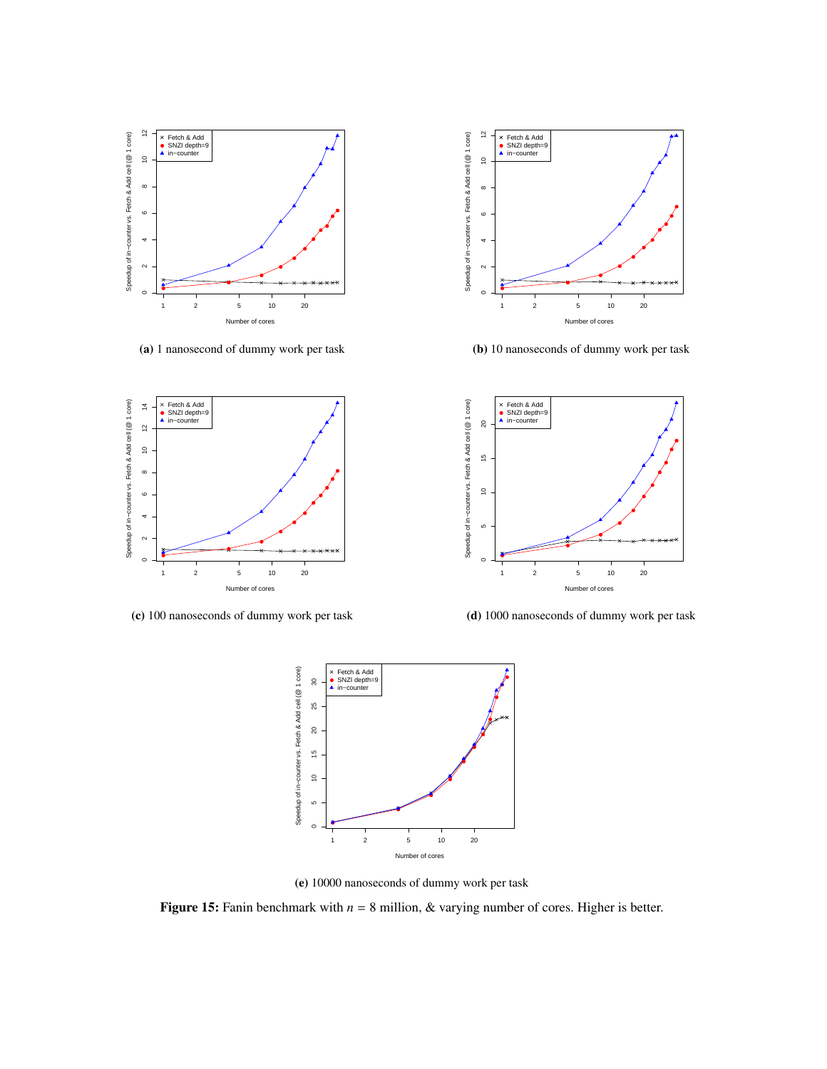<span id="page-16-0"></span>

(a) 1 nanosecond of dummy work per task



(b) 10 nanoseconds of dummy work per task



(c) 100 nanoseconds of dummy work per task



(d) 1000 nanoseconds of dummy work per task



(e) 10000 nanoseconds of dummy work per task

**Figure 15:** Fanin benchmark with  $n = 8$  million, & varying number of cores. Higher is better.